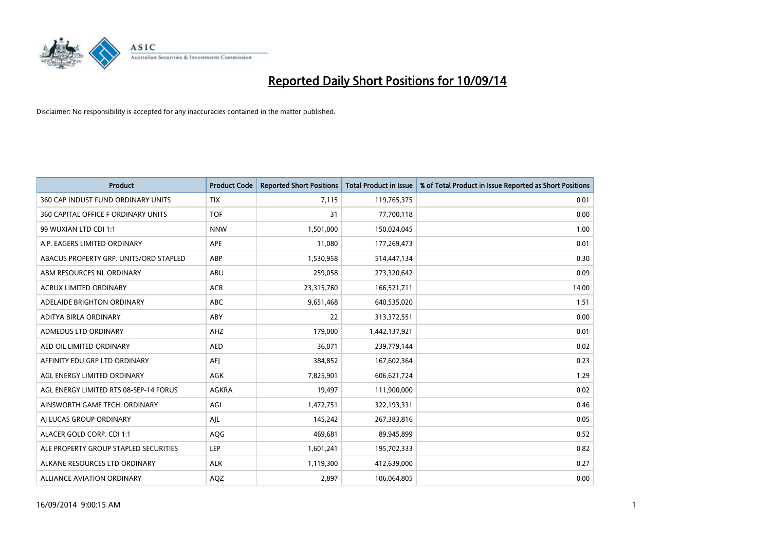

| <b>Product</b>                         | <b>Product Code</b> | <b>Reported Short Positions</b> | <b>Total Product in Issue</b> | % of Total Product in Issue Reported as Short Positions |
|----------------------------------------|---------------------|---------------------------------|-------------------------------|---------------------------------------------------------|
| 360 CAP INDUST FUND ORDINARY UNITS     | <b>TIX</b>          | 7,115                           | 119,765,375                   | 0.01                                                    |
| 360 CAPITAL OFFICE F ORDINARY UNITS    | <b>TOF</b>          | 31                              | 77,700,118                    | 0.00                                                    |
| 99 WUXIAN LTD CDI 1:1                  | <b>NNW</b>          | 1,501,000                       | 150,024,045                   | 1.00                                                    |
| A.P. EAGERS LIMITED ORDINARY           | APE                 | 11,080                          | 177,269,473                   | 0.01                                                    |
| ABACUS PROPERTY GRP. UNITS/ORD STAPLED | ABP                 | 1,530,958                       | 514,447,134                   | 0.30                                                    |
| ABM RESOURCES NL ORDINARY              | ABU                 | 259,058                         | 273,320,642                   | 0.09                                                    |
| <b>ACRUX LIMITED ORDINARY</b>          | <b>ACR</b>          | 23,315,760                      | 166,521,711                   | 14.00                                                   |
| ADELAIDE BRIGHTON ORDINARY             | <b>ABC</b>          | 9,651,468                       | 640,535,020                   | 1.51                                                    |
| ADITYA BIRLA ORDINARY                  | ABY                 | 22                              | 313,372,551                   | 0.00                                                    |
| ADMEDUS LTD ORDINARY                   | AHZ                 | 179,000                         | 1,442,137,921                 | 0.01                                                    |
| AED OIL LIMITED ORDINARY               | <b>AED</b>          | 36,071                          | 239,779,144                   | 0.02                                                    |
| AFFINITY EDU GRP LTD ORDINARY          | AFJ                 | 384,852                         | 167,602,364                   | 0.23                                                    |
| AGL ENERGY LIMITED ORDINARY            | AGK                 | 7,825,901                       | 606,621,724                   | 1.29                                                    |
| AGL ENERGY LIMITED RTS 08-SEP-14 FORUS | AGKRA               | 19,497                          | 111,900,000                   | 0.02                                                    |
| AINSWORTH GAME TECH. ORDINARY          | AGI                 | 1,472,751                       | 322,193,331                   | 0.46                                                    |
| AI LUCAS GROUP ORDINARY                | AJL                 | 145,242                         | 267,383,816                   | 0.05                                                    |
| ALACER GOLD CORP. CDI 1:1              | AQG                 | 469,681                         | 89,945,899                    | 0.52                                                    |
| ALE PROPERTY GROUP STAPLED SECURITIES  | <b>LEP</b>          | 1,601,241                       | 195,702,333                   | 0.82                                                    |
| ALKANE RESOURCES LTD ORDINARY          | <b>ALK</b>          | 1,119,300                       | 412,639,000                   | 0.27                                                    |
| ALLIANCE AVIATION ORDINARY             | AQZ                 | 2,897                           | 106,064,805                   | 0.00                                                    |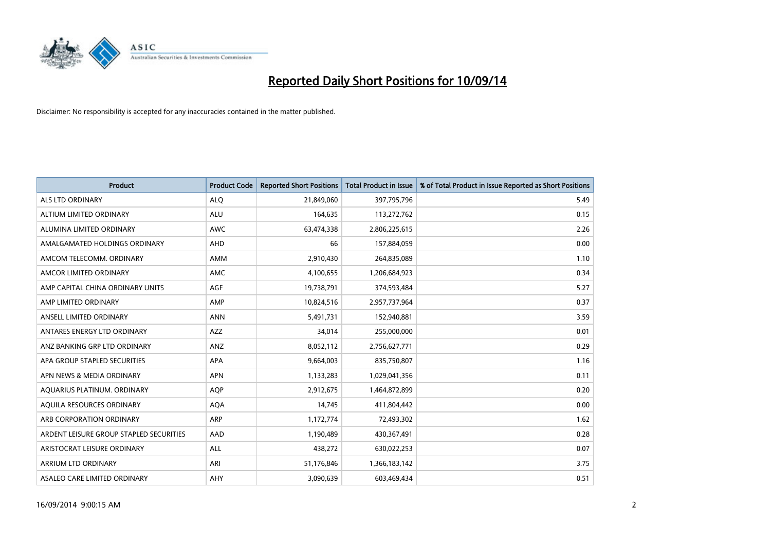

| <b>Product</b>                          | <b>Product Code</b> | <b>Reported Short Positions</b> | <b>Total Product in Issue</b> | % of Total Product in Issue Reported as Short Positions |
|-----------------------------------------|---------------------|---------------------------------|-------------------------------|---------------------------------------------------------|
| ALS LTD ORDINARY                        | <b>ALQ</b>          | 21,849,060                      | 397,795,796                   | 5.49                                                    |
| ALTIUM LIMITED ORDINARY                 | <b>ALU</b>          | 164,635                         | 113,272,762                   | 0.15                                                    |
| ALUMINA LIMITED ORDINARY                | <b>AWC</b>          | 63,474,338                      | 2,806,225,615                 | 2.26                                                    |
| AMALGAMATED HOLDINGS ORDINARY           | <b>AHD</b>          | 66                              | 157,884,059                   | 0.00                                                    |
| AMCOM TELECOMM, ORDINARY                | <b>AMM</b>          | 2,910,430                       | 264,835,089                   | 1.10                                                    |
| AMCOR LIMITED ORDINARY                  | <b>AMC</b>          | 4,100,655                       | 1,206,684,923                 | 0.34                                                    |
| AMP CAPITAL CHINA ORDINARY UNITS        | AGF                 | 19,738,791                      | 374,593,484                   | 5.27                                                    |
| AMP LIMITED ORDINARY                    | AMP                 | 10,824,516                      | 2,957,737,964                 | 0.37                                                    |
| ANSELL LIMITED ORDINARY                 | <b>ANN</b>          | 5,491,731                       | 152,940,881                   | 3.59                                                    |
| ANTARES ENERGY LTD ORDINARY             | <b>AZZ</b>          | 34,014                          | 255,000,000                   | 0.01                                                    |
| ANZ BANKING GRP LTD ORDINARY            | ANZ                 | 8,052,112                       | 2,756,627,771                 | 0.29                                                    |
| APA GROUP STAPLED SECURITIES            | APA                 | 9,664,003                       | 835,750,807                   | 1.16                                                    |
| APN NEWS & MEDIA ORDINARY               | <b>APN</b>          | 1,133,283                       | 1,029,041,356                 | 0.11                                                    |
| AQUARIUS PLATINUM. ORDINARY             | <b>AOP</b>          | 2,912,675                       | 1,464,872,899                 | 0.20                                                    |
| AQUILA RESOURCES ORDINARY               | <b>AQA</b>          | 14,745                          | 411,804,442                   | 0.00                                                    |
| ARB CORPORATION ORDINARY                | ARP                 | 1,172,774                       | 72,493,302                    | 1.62                                                    |
| ARDENT LEISURE GROUP STAPLED SECURITIES | AAD                 | 1,190,489                       | 430,367,491                   | 0.28                                                    |
| ARISTOCRAT LEISURE ORDINARY             | <b>ALL</b>          | 438,272                         | 630,022,253                   | 0.07                                                    |
| ARRIUM LTD ORDINARY                     | ARI                 | 51,176,846                      | 1,366,183,142                 | 3.75                                                    |
| ASALEO CARE LIMITED ORDINARY            | AHY                 | 3,090,639                       | 603,469,434                   | 0.51                                                    |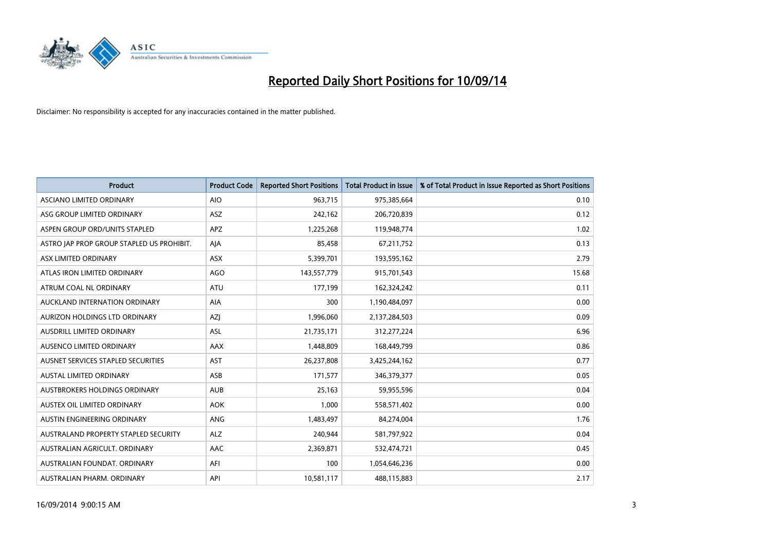

| <b>Product</b>                            | <b>Product Code</b> | <b>Reported Short Positions</b> | <b>Total Product in Issue</b> | % of Total Product in Issue Reported as Short Positions |
|-------------------------------------------|---------------------|---------------------------------|-------------------------------|---------------------------------------------------------|
| ASCIANO LIMITED ORDINARY                  | <b>AIO</b>          | 963,715                         | 975,385,664                   | 0.10                                                    |
| ASG GROUP LIMITED ORDINARY                | ASZ                 | 242,162                         | 206,720,839                   | 0.12                                                    |
| ASPEN GROUP ORD/UNITS STAPLED             | APZ                 | 1,225,268                       | 119,948,774                   | 1.02                                                    |
| ASTRO JAP PROP GROUP STAPLED US PROHIBIT. | AJA                 | 85,458                          | 67,211,752                    | 0.13                                                    |
| ASX LIMITED ORDINARY                      | ASX                 | 5,399,701                       | 193,595,162                   | 2.79                                                    |
| ATLAS IRON LIMITED ORDINARY               | <b>AGO</b>          | 143,557,779                     | 915,701,543                   | 15.68                                                   |
| ATRUM COAL NL ORDINARY                    | <b>ATU</b>          | 177,199                         | 162,324,242                   | 0.11                                                    |
| AUCKLAND INTERNATION ORDINARY             | <b>AIA</b>          | 300                             | 1,190,484,097                 | 0.00                                                    |
| AURIZON HOLDINGS LTD ORDINARY             | <b>AZI</b>          | 1,996,060                       | 2,137,284,503                 | 0.09                                                    |
| AUSDRILL LIMITED ORDINARY                 | ASL                 | 21,735,171                      | 312,277,224                   | 6.96                                                    |
| AUSENCO LIMITED ORDINARY                  | AAX                 | 1,448,809                       | 168,449,799                   | 0.86                                                    |
| AUSNET SERVICES STAPLED SECURITIES        | <b>AST</b>          | 26,237,808                      | 3,425,244,162                 | 0.77                                                    |
| <b>AUSTAL LIMITED ORDINARY</b>            | ASB                 | 171,577                         | 346,379,377                   | 0.05                                                    |
| AUSTBROKERS HOLDINGS ORDINARY             | <b>AUB</b>          | 25,163                          | 59,955,596                    | 0.04                                                    |
| AUSTEX OIL LIMITED ORDINARY               | <b>AOK</b>          | 1,000                           | 558,571,402                   | 0.00                                                    |
| AUSTIN ENGINEERING ORDINARY               | ANG                 | 1,483,497                       | 84,274,004                    | 1.76                                                    |
| AUSTRALAND PROPERTY STAPLED SECURITY      | <b>ALZ</b>          | 240,944                         | 581,797,922                   | 0.04                                                    |
| AUSTRALIAN AGRICULT, ORDINARY             | AAC                 | 2,369,871                       | 532,474,721                   | 0.45                                                    |
| AUSTRALIAN FOUNDAT, ORDINARY              | AFI                 | 100                             | 1,054,646,236                 | 0.00                                                    |
| AUSTRALIAN PHARM. ORDINARY                | API                 | 10,581,117                      | 488,115,883                   | 2.17                                                    |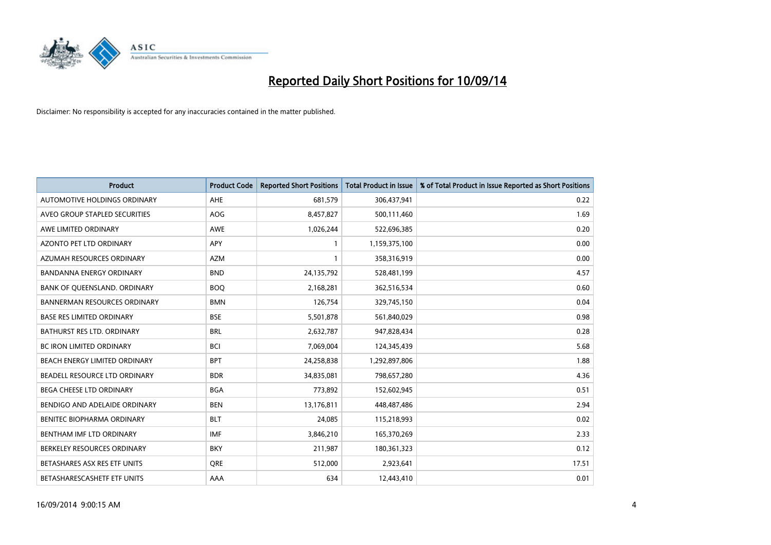

| <b>Product</b>                      | <b>Product Code</b> | <b>Reported Short Positions</b> | <b>Total Product in Issue</b> | % of Total Product in Issue Reported as Short Positions |
|-------------------------------------|---------------------|---------------------------------|-------------------------------|---------------------------------------------------------|
| AUTOMOTIVE HOLDINGS ORDINARY        | AHE                 | 681,579                         | 306,437,941                   | 0.22                                                    |
| AVEO GROUP STAPLED SECURITIES       | AOG                 | 8,457,827                       | 500,111,460                   | 1.69                                                    |
| AWE LIMITED ORDINARY                | <b>AWE</b>          | 1,026,244                       | 522,696,385                   | 0.20                                                    |
| AZONTO PET LTD ORDINARY             | APY                 | 1                               | 1,159,375,100                 | 0.00                                                    |
| AZUMAH RESOURCES ORDINARY           | <b>AZM</b>          | 1                               | 358,316,919                   | 0.00                                                    |
| <b>BANDANNA ENERGY ORDINARY</b>     | <b>BND</b>          | 24,135,792                      | 528,481,199                   | 4.57                                                    |
| BANK OF QUEENSLAND. ORDINARY        | <b>BOQ</b>          | 2,168,281                       | 362,516,534                   | 0.60                                                    |
| <b>BANNERMAN RESOURCES ORDINARY</b> | <b>BMN</b>          | 126,754                         | 329,745,150                   | 0.04                                                    |
| <b>BASE RES LIMITED ORDINARY</b>    | <b>BSE</b>          | 5,501,878                       | 561,840,029                   | 0.98                                                    |
| <b>BATHURST RES LTD. ORDINARY</b>   | <b>BRL</b>          | 2,632,787                       | 947,828,434                   | 0.28                                                    |
| BC IRON LIMITED ORDINARY            | <b>BCI</b>          | 7,069,004                       | 124,345,439                   | 5.68                                                    |
| BEACH ENERGY LIMITED ORDINARY       | <b>BPT</b>          | 24,258,838                      | 1,292,897,806                 | 1.88                                                    |
| BEADELL RESOURCE LTD ORDINARY       | <b>BDR</b>          | 34,835,081                      | 798,657,280                   | 4.36                                                    |
| BEGA CHEESE LTD ORDINARY            | <b>BGA</b>          | 773,892                         | 152,602,945                   | 0.51                                                    |
| BENDIGO AND ADELAIDE ORDINARY       | <b>BEN</b>          | 13,176,811                      | 448,487,486                   | 2.94                                                    |
| BENITEC BIOPHARMA ORDINARY          | <b>BLT</b>          | 24,085                          | 115,218,993                   | 0.02                                                    |
| BENTHAM IMF LTD ORDINARY            | <b>IMF</b>          | 3,846,210                       | 165,370,269                   | 2.33                                                    |
| BERKELEY RESOURCES ORDINARY         | <b>BKY</b>          | 211,987                         | 180,361,323                   | 0.12                                                    |
| BETASHARES ASX RES ETF UNITS        | <b>ORE</b>          | 512,000                         | 2,923,641                     | 17.51                                                   |
| BETASHARESCASHETF ETF UNITS         | AAA                 | 634                             | 12,443,410                    | 0.01                                                    |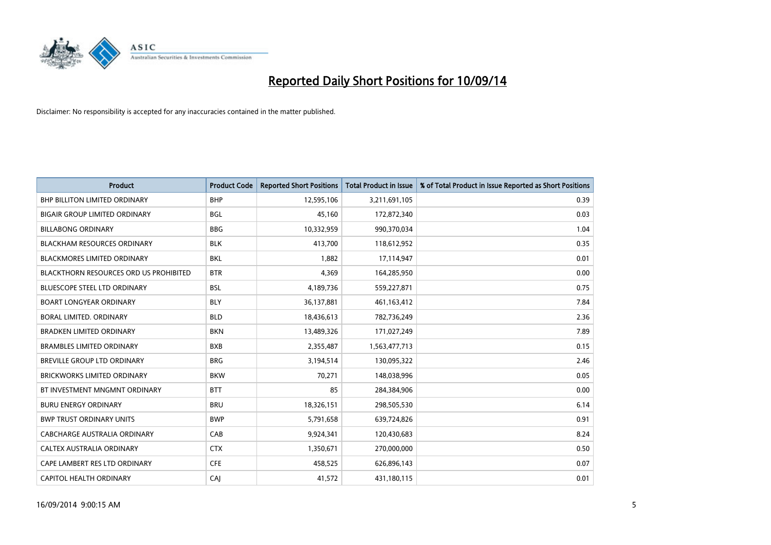

| <b>Product</b>                                | <b>Product Code</b> | <b>Reported Short Positions</b> | <b>Total Product in Issue</b> | % of Total Product in Issue Reported as Short Positions |
|-----------------------------------------------|---------------------|---------------------------------|-------------------------------|---------------------------------------------------------|
| BHP BILLITON LIMITED ORDINARY                 | <b>BHP</b>          | 12,595,106                      | 3,211,691,105                 | 0.39                                                    |
| <b>BIGAIR GROUP LIMITED ORDINARY</b>          | BGL                 | 45,160                          | 172,872,340                   | 0.03                                                    |
| <b>BILLABONG ORDINARY</b>                     | <b>BBG</b>          | 10,332,959                      | 990,370,034                   | 1.04                                                    |
| <b>BLACKHAM RESOURCES ORDINARY</b>            | <b>BLK</b>          | 413,700                         | 118,612,952                   | 0.35                                                    |
| <b>BLACKMORES LIMITED ORDINARY</b>            | <b>BKL</b>          | 1,882                           | 17,114,947                    | 0.01                                                    |
| <b>BLACKTHORN RESOURCES ORD US PROHIBITED</b> | <b>BTR</b>          | 4,369                           | 164,285,950                   | 0.00                                                    |
| <b>BLUESCOPE STEEL LTD ORDINARY</b>           | <b>BSL</b>          | 4,189,736                       | 559,227,871                   | 0.75                                                    |
| <b>BOART LONGYEAR ORDINARY</b>                | <b>BLY</b>          | 36,137,881                      | 461,163,412                   | 7.84                                                    |
| <b>BORAL LIMITED, ORDINARY</b>                | <b>BLD</b>          | 18,436,613                      | 782,736,249                   | 2.36                                                    |
| <b>BRADKEN LIMITED ORDINARY</b>               | <b>BKN</b>          | 13,489,326                      | 171,027,249                   | 7.89                                                    |
| <b>BRAMBLES LIMITED ORDINARY</b>              | <b>BXB</b>          | 2,355,487                       | 1,563,477,713                 | 0.15                                                    |
| <b>BREVILLE GROUP LTD ORDINARY</b>            | <b>BRG</b>          | 3,194,514                       | 130,095,322                   | 2.46                                                    |
| <b>BRICKWORKS LIMITED ORDINARY</b>            | <b>BKW</b>          | 70,271                          | 148,038,996                   | 0.05                                                    |
| BT INVESTMENT MNGMNT ORDINARY                 | <b>BTT</b>          | 85                              | 284,384,906                   | 0.00                                                    |
| <b>BURU ENERGY ORDINARY</b>                   | <b>BRU</b>          | 18,326,151                      | 298,505,530                   | 6.14                                                    |
| <b>BWP TRUST ORDINARY UNITS</b>               | <b>BWP</b>          | 5,791,658                       | 639,724,826                   | 0.91                                                    |
| CABCHARGE AUSTRALIA ORDINARY                  | CAB                 | 9,924,341                       | 120,430,683                   | 8.24                                                    |
| CALTEX AUSTRALIA ORDINARY                     | <b>CTX</b>          | 1,350,671                       | 270,000,000                   | 0.50                                                    |
| CAPE LAMBERT RES LTD ORDINARY                 | <b>CFE</b>          | 458,525                         | 626,896,143                   | 0.07                                                    |
| CAPITOL HEALTH ORDINARY                       | CAJ                 | 41,572                          | 431,180,115                   | 0.01                                                    |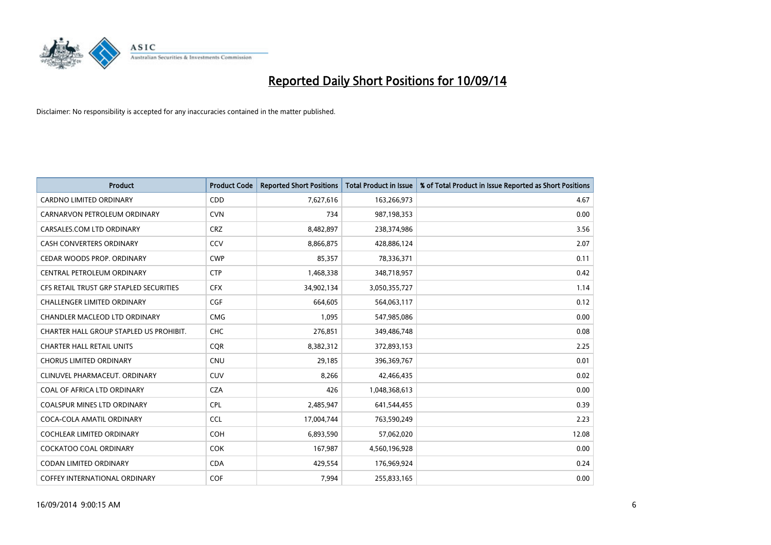

| <b>Product</b>                          | <b>Product Code</b> | <b>Reported Short Positions</b> | <b>Total Product in Issue</b> | % of Total Product in Issue Reported as Short Positions |
|-----------------------------------------|---------------------|---------------------------------|-------------------------------|---------------------------------------------------------|
| <b>CARDNO LIMITED ORDINARY</b>          | CDD                 | 7,627,616                       | 163,266,973                   | 4.67                                                    |
| CARNARVON PETROLEUM ORDINARY            | <b>CVN</b>          | 734                             | 987,198,353                   | 0.00                                                    |
| CARSALES.COM LTD ORDINARY               | <b>CRZ</b>          | 8,482,897                       | 238,374,986                   | 3.56                                                    |
| CASH CONVERTERS ORDINARY                | CCV                 | 8,866,875                       | 428,886,124                   | 2.07                                                    |
| CEDAR WOODS PROP. ORDINARY              | <b>CWP</b>          | 85,357                          | 78,336,371                    | 0.11                                                    |
| CENTRAL PETROLEUM ORDINARY              | <b>CTP</b>          | 1,468,338                       | 348,718,957                   | 0.42                                                    |
| CFS RETAIL TRUST GRP STAPLED SECURITIES | <b>CFX</b>          | 34,902,134                      | 3,050,355,727                 | 1.14                                                    |
| <b>CHALLENGER LIMITED ORDINARY</b>      | <b>CGF</b>          | 664,605                         | 564,063,117                   | 0.12                                                    |
| CHANDLER MACLEOD LTD ORDINARY           | <b>CMG</b>          | 1,095                           | 547,985,086                   | 0.00                                                    |
| CHARTER HALL GROUP STAPLED US PROHIBIT. | <b>CHC</b>          | 276,851                         | 349,486,748                   | 0.08                                                    |
| <b>CHARTER HALL RETAIL UNITS</b>        | <b>CQR</b>          | 8,382,312                       | 372,893,153                   | 2.25                                                    |
| <b>CHORUS LIMITED ORDINARY</b>          | <b>CNU</b>          | 29,185                          | 396,369,767                   | 0.01                                                    |
| CLINUVEL PHARMACEUT. ORDINARY           | <b>CUV</b>          | 8,266                           | 42,466,435                    | 0.02                                                    |
| COAL OF AFRICA LTD ORDINARY             | <b>CZA</b>          | 426                             | 1,048,368,613                 | 0.00                                                    |
| <b>COALSPUR MINES LTD ORDINARY</b>      | <b>CPL</b>          | 2,485,947                       | 641,544,455                   | 0.39                                                    |
| COCA-COLA AMATIL ORDINARY               | <b>CCL</b>          | 17,004,744                      | 763,590,249                   | 2.23                                                    |
| COCHLEAR LIMITED ORDINARY               | <b>COH</b>          | 6,893,590                       | 57,062,020                    | 12.08                                                   |
| <b>COCKATOO COAL ORDINARY</b>           | <b>COK</b>          | 167,987                         | 4,560,196,928                 | 0.00                                                    |
| <b>CODAN LIMITED ORDINARY</b>           | <b>CDA</b>          | 429,554                         | 176,969,924                   | 0.24                                                    |
| COFFEY INTERNATIONAL ORDINARY           | <b>COF</b>          | 7,994                           | 255,833,165                   | 0.00                                                    |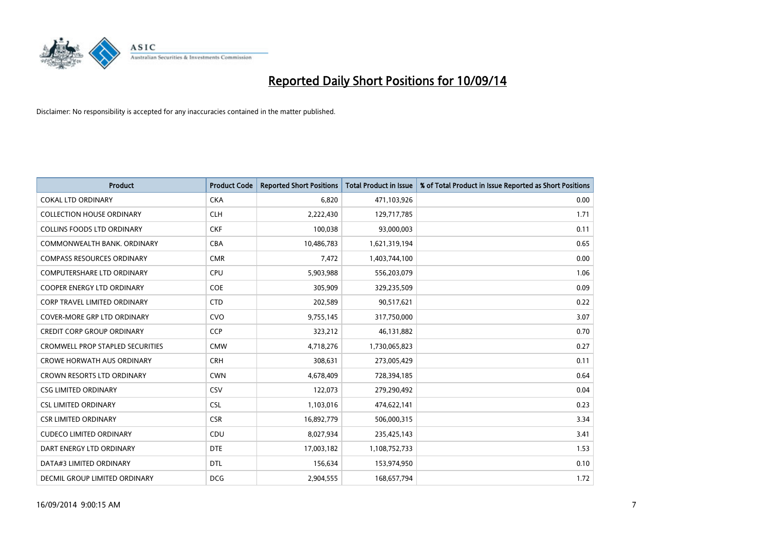

| Product                                 | <b>Product Code</b> | <b>Reported Short Positions</b> | <b>Total Product in Issue</b> | % of Total Product in Issue Reported as Short Positions |
|-----------------------------------------|---------------------|---------------------------------|-------------------------------|---------------------------------------------------------|
| <b>COKAL LTD ORDINARY</b>               | <b>CKA</b>          | 6,820                           | 471,103,926                   | 0.00                                                    |
| <b>COLLECTION HOUSE ORDINARY</b>        | <b>CLH</b>          | 2,222,430                       | 129,717,785                   | 1.71                                                    |
| <b>COLLINS FOODS LTD ORDINARY</b>       | <b>CKF</b>          | 100,038                         | 93,000,003                    | 0.11                                                    |
| COMMONWEALTH BANK, ORDINARY             | <b>CBA</b>          | 10,486,783                      | 1,621,319,194                 | 0.65                                                    |
| <b>COMPASS RESOURCES ORDINARY</b>       | <b>CMR</b>          | 7,472                           | 1,403,744,100                 | 0.00                                                    |
| <b>COMPUTERSHARE LTD ORDINARY</b>       | <b>CPU</b>          | 5,903,988                       | 556,203,079                   | 1.06                                                    |
| <b>COOPER ENERGY LTD ORDINARY</b>       | <b>COE</b>          | 305,909                         | 329,235,509                   | 0.09                                                    |
| <b>CORP TRAVEL LIMITED ORDINARY</b>     | <b>CTD</b>          | 202,589                         | 90,517,621                    | 0.22                                                    |
| <b>COVER-MORE GRP LTD ORDINARY</b>      | <b>CVO</b>          | 9,755,145                       | 317,750,000                   | 3.07                                                    |
| <b>CREDIT CORP GROUP ORDINARY</b>       | <b>CCP</b>          | 323,212                         | 46,131,882                    | 0.70                                                    |
| <b>CROMWELL PROP STAPLED SECURITIES</b> | <b>CMW</b>          | 4,718,276                       | 1,730,065,823                 | 0.27                                                    |
| <b>CROWE HORWATH AUS ORDINARY</b>       | <b>CRH</b>          | 308,631                         | 273,005,429                   | 0.11                                                    |
| <b>CROWN RESORTS LTD ORDINARY</b>       | <b>CWN</b>          | 4,678,409                       | 728,394,185                   | 0.64                                                    |
| <b>CSG LIMITED ORDINARY</b>             | CSV                 | 122,073                         | 279,290,492                   | 0.04                                                    |
| <b>CSL LIMITED ORDINARY</b>             | <b>CSL</b>          | 1,103,016                       | 474,622,141                   | 0.23                                                    |
| <b>CSR LIMITED ORDINARY</b>             | <b>CSR</b>          | 16,892,779                      | 506,000,315                   | 3.34                                                    |
| <b>CUDECO LIMITED ORDINARY</b>          | CDU                 | 8,027,934                       | 235,425,143                   | 3.41                                                    |
| DART ENERGY LTD ORDINARY                | <b>DTE</b>          | 17,003,182                      | 1,108,752,733                 | 1.53                                                    |
| DATA#3 LIMITED ORDINARY                 | <b>DTL</b>          | 156,634                         | 153,974,950                   | 0.10                                                    |
| DECMIL GROUP LIMITED ORDINARY           | <b>DCG</b>          | 2,904,555                       | 168,657,794                   | 1.72                                                    |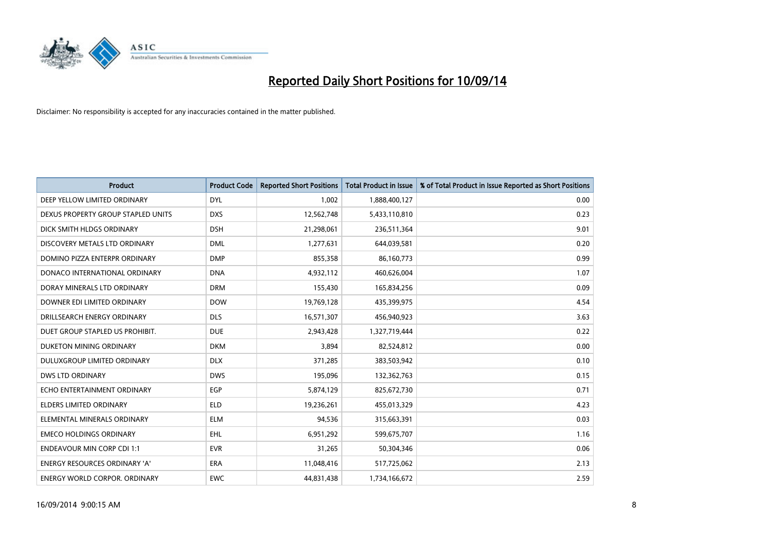

| <b>Product</b>                       | <b>Product Code</b> | <b>Reported Short Positions</b> | <b>Total Product in Issue</b> | % of Total Product in Issue Reported as Short Positions |
|--------------------------------------|---------------------|---------------------------------|-------------------------------|---------------------------------------------------------|
| DEEP YELLOW LIMITED ORDINARY         | <b>DYL</b>          | 1,002                           | 1,888,400,127                 | 0.00                                                    |
| DEXUS PROPERTY GROUP STAPLED UNITS   | <b>DXS</b>          | 12,562,748                      | 5,433,110,810                 | 0.23                                                    |
| DICK SMITH HLDGS ORDINARY            | <b>DSH</b>          | 21,298,061                      | 236,511,364                   | 9.01                                                    |
| DISCOVERY METALS LTD ORDINARY        | <b>DML</b>          | 1,277,631                       | 644,039,581                   | 0.20                                                    |
| DOMINO PIZZA ENTERPR ORDINARY        | <b>DMP</b>          | 855,358                         | 86,160,773                    | 0.99                                                    |
| DONACO INTERNATIONAL ORDINARY        | <b>DNA</b>          | 4,932,112                       | 460,626,004                   | 1.07                                                    |
| DORAY MINERALS LTD ORDINARY          | <b>DRM</b>          | 155,430                         | 165,834,256                   | 0.09                                                    |
| DOWNER EDI LIMITED ORDINARY          | <b>DOW</b>          | 19,769,128                      | 435,399,975                   | 4.54                                                    |
| DRILLSEARCH ENERGY ORDINARY          | <b>DLS</b>          | 16,571,307                      | 456,940,923                   | 3.63                                                    |
| DUET GROUP STAPLED US PROHIBIT.      | <b>DUE</b>          | 2,943,428                       | 1,327,719,444                 | 0.22                                                    |
| DUKETON MINING ORDINARY              | <b>DKM</b>          | 3,894                           | 82,524,812                    | 0.00                                                    |
| <b>DULUXGROUP LIMITED ORDINARY</b>   | <b>DLX</b>          | 371,285                         | 383,503,942                   | 0.10                                                    |
| <b>DWS LTD ORDINARY</b>              | <b>DWS</b>          | 195,096                         | 132,362,763                   | 0.15                                                    |
| ECHO ENTERTAINMENT ORDINARY          | EGP                 | 5,874,129                       | 825,672,730                   | 0.71                                                    |
| <b>ELDERS LIMITED ORDINARY</b>       | <b>ELD</b>          | 19,236,261                      | 455,013,329                   | 4.23                                                    |
| ELEMENTAL MINERALS ORDINARY          | <b>ELM</b>          | 94,536                          | 315,663,391                   | 0.03                                                    |
| <b>EMECO HOLDINGS ORDINARY</b>       | <b>EHL</b>          | 6,951,292                       | 599,675,707                   | 1.16                                                    |
| <b>ENDEAVOUR MIN CORP CDI 1:1</b>    | <b>EVR</b>          | 31,265                          | 50,304,346                    | 0.06                                                    |
| <b>ENERGY RESOURCES ORDINARY 'A'</b> | <b>ERA</b>          | 11,048,416                      | 517,725,062                   | 2.13                                                    |
| <b>ENERGY WORLD CORPOR. ORDINARY</b> | <b>EWC</b>          | 44,831,438                      | 1,734,166,672                 | 2.59                                                    |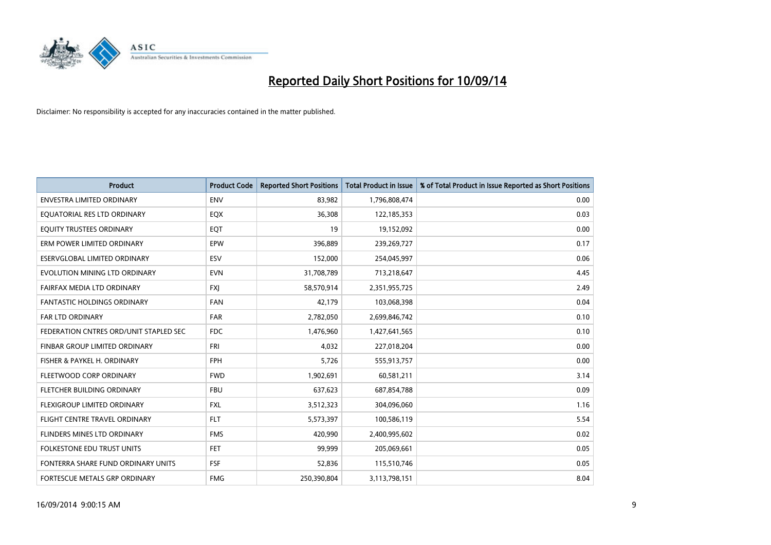

| <b>Product</b>                         | <b>Product Code</b> | <b>Reported Short Positions</b> | <b>Total Product in Issue</b> | % of Total Product in Issue Reported as Short Positions |
|----------------------------------------|---------------------|---------------------------------|-------------------------------|---------------------------------------------------------|
| <b>ENVESTRA LIMITED ORDINARY</b>       | <b>ENV</b>          | 83,982                          | 1,796,808,474                 | 0.00                                                    |
| EQUATORIAL RES LTD ORDINARY            | EQX                 | 36,308                          | 122,185,353                   | 0.03                                                    |
| EQUITY TRUSTEES ORDINARY               | EQT                 | 19                              | 19,152,092                    | 0.00                                                    |
| ERM POWER LIMITED ORDINARY             | <b>EPW</b>          | 396,889                         | 239,269,727                   | 0.17                                                    |
| ESERVGLOBAL LIMITED ORDINARY           | ESV                 | 152,000                         | 254,045,997                   | 0.06                                                    |
| EVOLUTION MINING LTD ORDINARY          | <b>EVN</b>          | 31,708,789                      | 713,218,647                   | 4.45                                                    |
| FAIRFAX MEDIA LTD ORDINARY             | <b>FXI</b>          | 58,570,914                      | 2,351,955,725                 | 2.49                                                    |
| <b>FANTASTIC HOLDINGS ORDINARY</b>     | <b>FAN</b>          | 42.179                          | 103,068,398                   | 0.04                                                    |
| <b>FAR LTD ORDINARY</b>                | <b>FAR</b>          | 2,782,050                       | 2,699,846,742                 | 0.10                                                    |
| FEDERATION CNTRES ORD/UNIT STAPLED SEC | <b>FDC</b>          | 1,476,960                       | 1,427,641,565                 | 0.10                                                    |
| FINBAR GROUP LIMITED ORDINARY          | FRI                 | 4,032                           | 227,018,204                   | 0.00                                                    |
| FISHER & PAYKEL H. ORDINARY            | <b>FPH</b>          | 5,726                           | 555,913,757                   | 0.00                                                    |
| FLEETWOOD CORP ORDINARY                | <b>FWD</b>          | 1,902,691                       | 60,581,211                    | 3.14                                                    |
| FLETCHER BUILDING ORDINARY             | <b>FBU</b>          | 637,623                         | 687,854,788                   | 0.09                                                    |
| FLEXIGROUP LIMITED ORDINARY            | <b>FXL</b>          | 3,512,323                       | 304,096,060                   | 1.16                                                    |
| FLIGHT CENTRE TRAVEL ORDINARY          | <b>FLT</b>          | 5,573,397                       | 100,586,119                   | 5.54                                                    |
| FLINDERS MINES LTD ORDINARY            | <b>FMS</b>          | 420,990                         | 2,400,995,602                 | 0.02                                                    |
| <b>FOLKESTONE EDU TRUST UNITS</b>      | FET.                | 99,999                          | 205,069,661                   | 0.05                                                    |
| FONTERRA SHARE FUND ORDINARY UNITS     | <b>FSF</b>          | 52,836                          | 115,510,746                   | 0.05                                                    |
| FORTESCUE METALS GRP ORDINARY          | <b>FMG</b>          | 250,390,804                     | 3,113,798,151                 | 8.04                                                    |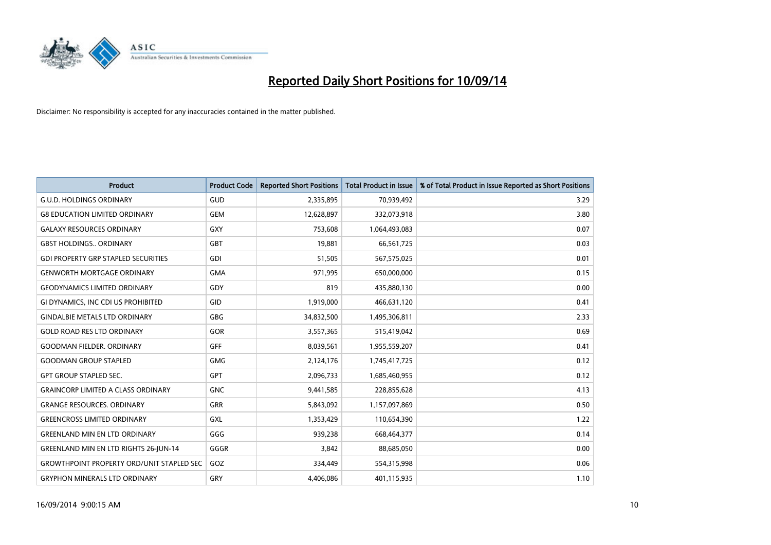

| <b>Product</b>                                   | <b>Product Code</b> | <b>Reported Short Positions</b> | <b>Total Product in Issue</b> | % of Total Product in Issue Reported as Short Positions |
|--------------------------------------------------|---------------------|---------------------------------|-------------------------------|---------------------------------------------------------|
| <b>G.U.D. HOLDINGS ORDINARY</b>                  | GUD                 | 2,335,895                       | 70,939,492                    | 3.29                                                    |
| <b>G8 EDUCATION LIMITED ORDINARY</b>             | <b>GEM</b>          | 12,628,897                      | 332,073,918                   | 3.80                                                    |
| <b>GALAXY RESOURCES ORDINARY</b>                 | GXY                 | 753,608                         | 1,064,493,083                 | 0.07                                                    |
| <b>GBST HOLDINGS ORDINARY</b>                    | <b>GBT</b>          | 19,881                          | 66,561,725                    | 0.03                                                    |
| <b>GDI PROPERTY GRP STAPLED SECURITIES</b>       | GDI                 | 51,505                          | 567,575,025                   | 0.01                                                    |
| <b>GENWORTH MORTGAGE ORDINARY</b>                | <b>GMA</b>          | 971,995                         | 650,000,000                   | 0.15                                                    |
| <b>GEODYNAMICS LIMITED ORDINARY</b>              | GDY                 | 819                             | 435,880,130                   | 0.00                                                    |
| GI DYNAMICS, INC CDI US PROHIBITED               | GID                 | 1,919,000                       | 466,631,120                   | 0.41                                                    |
| <b>GINDALBIE METALS LTD ORDINARY</b>             | GBG                 | 34,832,500                      | 1,495,306,811                 | 2.33                                                    |
| <b>GOLD ROAD RES LTD ORDINARY</b>                | GOR                 | 3,557,365                       | 515,419,042                   | 0.69                                                    |
| <b>GOODMAN FIELDER. ORDINARY</b>                 | <b>GFF</b>          | 8,039,561                       | 1,955,559,207                 | 0.41                                                    |
| <b>GOODMAN GROUP STAPLED</b>                     | <b>GMG</b>          | 2,124,176                       | 1,745,417,725                 | 0.12                                                    |
| <b>GPT GROUP STAPLED SEC.</b>                    | GPT                 | 2,096,733                       | 1,685,460,955                 | 0.12                                                    |
| <b>GRAINCORP LIMITED A CLASS ORDINARY</b>        | <b>GNC</b>          | 9,441,585                       | 228,855,628                   | 4.13                                                    |
| <b>GRANGE RESOURCES, ORDINARY</b>                | <b>GRR</b>          | 5,843,092                       | 1,157,097,869                 | 0.50                                                    |
| <b>GREENCROSS LIMITED ORDINARY</b>               | <b>GXL</b>          | 1,353,429                       | 110,654,390                   | 1.22                                                    |
| <b>GREENLAND MIN EN LTD ORDINARY</b>             | GGG                 | 939,238                         | 668,464,377                   | 0.14                                                    |
| <b>GREENLAND MIN EN LTD RIGHTS 26-JUN-14</b>     | GGGR                | 3,842                           | 88,685,050                    | 0.00                                                    |
| <b>GROWTHPOINT PROPERTY ORD/UNIT STAPLED SEC</b> | GOZ                 | 334,449                         | 554,315,998                   | 0.06                                                    |
| <b>GRYPHON MINERALS LTD ORDINARY</b>             | GRY                 | 4,406,086                       | 401,115,935                   | 1.10                                                    |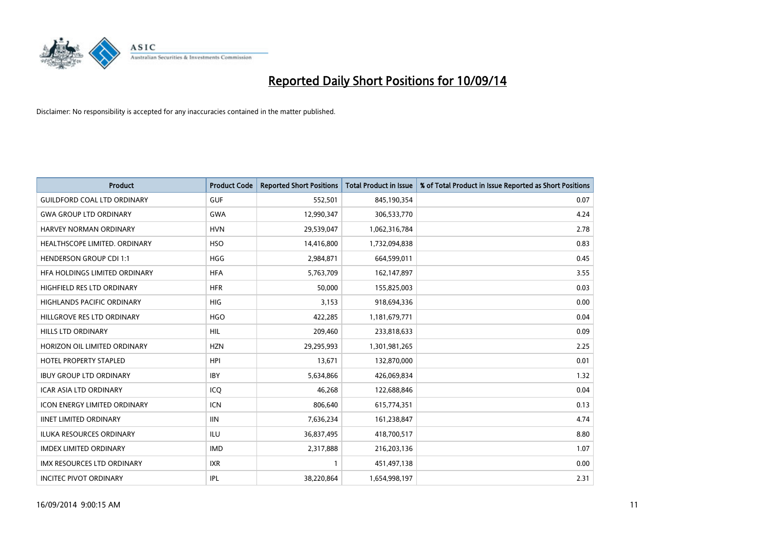

| <b>Product</b>                      | <b>Product Code</b> | <b>Reported Short Positions</b> | <b>Total Product in Issue</b> | % of Total Product in Issue Reported as Short Positions |
|-------------------------------------|---------------------|---------------------------------|-------------------------------|---------------------------------------------------------|
| <b>GUILDFORD COAL LTD ORDINARY</b>  | <b>GUF</b>          | 552,501                         | 845,190,354                   | 0.07                                                    |
| <b>GWA GROUP LTD ORDINARY</b>       | <b>GWA</b>          | 12,990,347                      | 306,533,770                   | 4.24                                                    |
| HARVEY NORMAN ORDINARY              | <b>HVN</b>          | 29,539,047                      | 1,062,316,784                 | 2.78                                                    |
| HEALTHSCOPE LIMITED. ORDINARY       | <b>HSO</b>          | 14,416,800                      | 1,732,094,838                 | 0.83                                                    |
| <b>HENDERSON GROUP CDI 1:1</b>      | HGG                 | 2,984,871                       | 664,599,011                   | 0.45                                                    |
| HFA HOLDINGS LIMITED ORDINARY       | <b>HFA</b>          | 5,763,709                       | 162,147,897                   | 3.55                                                    |
| HIGHFIELD RES LTD ORDINARY          | <b>HFR</b>          | 50,000                          | 155,825,003                   | 0.03                                                    |
| HIGHLANDS PACIFIC ORDINARY          | <b>HIG</b>          | 3,153                           | 918,694,336                   | 0.00                                                    |
| HILLGROVE RES LTD ORDINARY          | <b>HGO</b>          | 422,285                         | 1,181,679,771                 | 0.04                                                    |
| HILLS LTD ORDINARY                  | <b>HIL</b>          | 209,460                         | 233,818,633                   | 0.09                                                    |
| HORIZON OIL LIMITED ORDINARY        | <b>HZN</b>          | 29,295,993                      | 1,301,981,265                 | 2.25                                                    |
| <b>HOTEL PROPERTY STAPLED</b>       | <b>HPI</b>          | 13,671                          | 132,870,000                   | 0.01                                                    |
| <b>IBUY GROUP LTD ORDINARY</b>      | <b>IBY</b>          | 5,634,866                       | 426,069,834                   | 1.32                                                    |
| <b>ICAR ASIA LTD ORDINARY</b>       | ICQ                 | 46,268                          | 122,688,846                   | 0.04                                                    |
| <b>ICON ENERGY LIMITED ORDINARY</b> | <b>ICN</b>          | 806,640                         | 615,774,351                   | 0.13                                                    |
| <b>IINET LIMITED ORDINARY</b>       | <b>IIN</b>          | 7,636,234                       | 161,238,847                   | 4.74                                                    |
| ILUKA RESOURCES ORDINARY            | ILU                 | 36,837,495                      | 418,700,517                   | 8.80                                                    |
| <b>IMDEX LIMITED ORDINARY</b>       | <b>IMD</b>          | 2,317,888                       | 216,203,136                   | 1.07                                                    |
| <b>IMX RESOURCES LTD ORDINARY</b>   | <b>IXR</b>          | $\mathbf{1}$                    | 451,497,138                   | 0.00                                                    |
| <b>INCITEC PIVOT ORDINARY</b>       | <b>IPL</b>          | 38,220,864                      | 1,654,998,197                 | 2.31                                                    |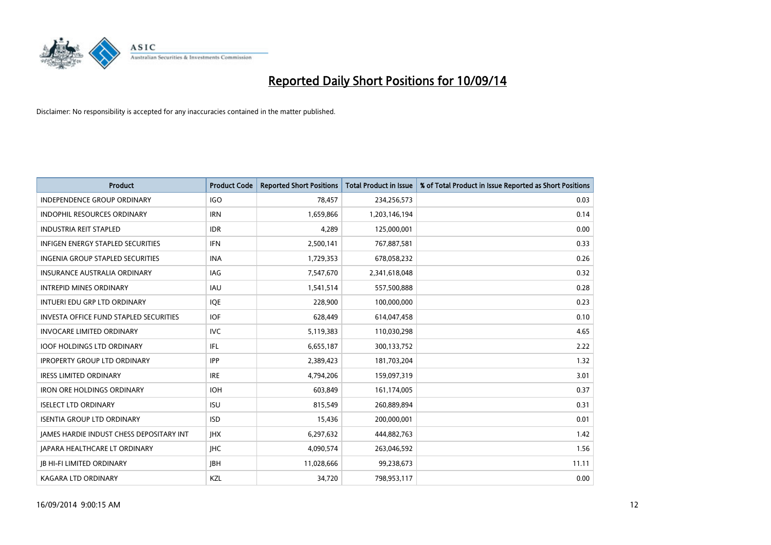

| <b>Product</b>                                | <b>Product Code</b> | <b>Reported Short Positions</b> | <b>Total Product in Issue</b> | % of Total Product in Issue Reported as Short Positions |
|-----------------------------------------------|---------------------|---------------------------------|-------------------------------|---------------------------------------------------------|
| <b>INDEPENDENCE GROUP ORDINARY</b>            | <b>IGO</b>          | 78,457                          | 234,256,573                   | 0.03                                                    |
| INDOPHIL RESOURCES ORDINARY                   | <b>IRN</b>          | 1,659,866                       | 1,203,146,194                 | 0.14                                                    |
| <b>INDUSTRIA REIT STAPLED</b>                 | <b>IDR</b>          | 4,289                           | 125,000,001                   | 0.00                                                    |
| <b>INFIGEN ENERGY STAPLED SECURITIES</b>      | <b>IFN</b>          | 2,500,141                       | 767,887,581                   | 0.33                                                    |
| <b>INGENIA GROUP STAPLED SECURITIES</b>       | <b>INA</b>          | 1,729,353                       | 678,058,232                   | 0.26                                                    |
| <b>INSURANCE AUSTRALIA ORDINARY</b>           | IAG                 | 7,547,670                       | 2,341,618,048                 | 0.32                                                    |
| <b>INTREPID MINES ORDINARY</b>                | IAU                 | 1,541,514                       | 557,500,888                   | 0.28                                                    |
| INTUERI EDU GRP LTD ORDINARY                  | <b>IQE</b>          | 228,900                         | 100,000,000                   | 0.23                                                    |
| <b>INVESTA OFFICE FUND STAPLED SECURITIES</b> | <b>IOF</b>          | 628,449                         | 614,047,458                   | 0.10                                                    |
| <b>INVOCARE LIMITED ORDINARY</b>              | <b>IVC</b>          | 5,119,383                       | 110,030,298                   | 4.65                                                    |
| <b>IOOF HOLDINGS LTD ORDINARY</b>             | IFL                 | 6,655,187                       | 300,133,752                   | 2.22                                                    |
| <b>IPROPERTY GROUP LTD ORDINARY</b>           | <b>IPP</b>          | 2,389,423                       | 181,703,204                   | 1.32                                                    |
| <b>IRESS LIMITED ORDINARY</b>                 | <b>IRE</b>          | 4,794,206                       | 159,097,319                   | 3.01                                                    |
| <b>IRON ORE HOLDINGS ORDINARY</b>             | <b>IOH</b>          | 603,849                         | 161,174,005                   | 0.37                                                    |
| <b>ISELECT LTD ORDINARY</b>                   | <b>ISU</b>          | 815,549                         | 260,889,894                   | 0.31                                                    |
| <b>ISENTIA GROUP LTD ORDINARY</b>             | <b>ISD</b>          | 15,436                          | 200,000,001                   | 0.01                                                    |
| JAMES HARDIE INDUST CHESS DEPOSITARY INT      | <b>IHX</b>          | 6,297,632                       | 444,882,763                   | 1.42                                                    |
| <b>JAPARA HEALTHCARE LT ORDINARY</b>          | <b>IHC</b>          | 4,090,574                       | 263,046,592                   | 1.56                                                    |
| <b>JB HI-FI LIMITED ORDINARY</b>              | <b>JBH</b>          | 11,028,666                      | 99,238,673                    | 11.11                                                   |
| <b>KAGARA LTD ORDINARY</b>                    | KZL                 | 34,720                          | 798,953,117                   | 0.00                                                    |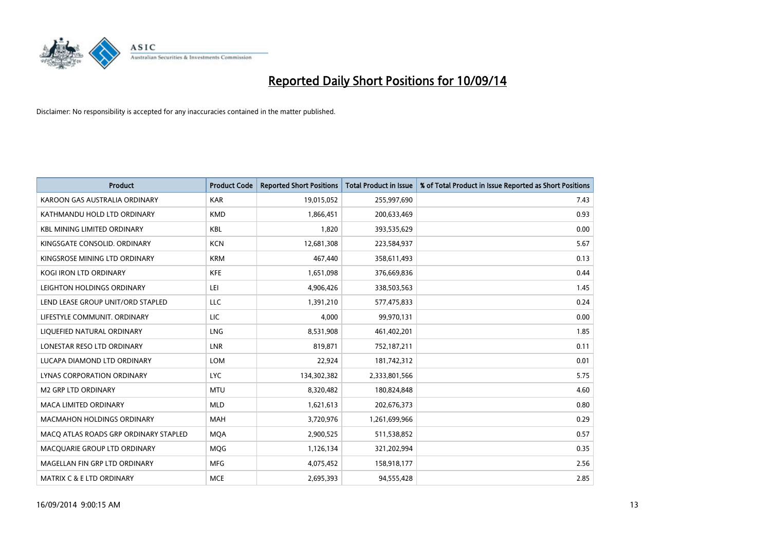

| <b>Product</b>                        | <b>Product Code</b> | <b>Reported Short Positions</b> | <b>Total Product in Issue</b> | % of Total Product in Issue Reported as Short Positions |
|---------------------------------------|---------------------|---------------------------------|-------------------------------|---------------------------------------------------------|
| KAROON GAS AUSTRALIA ORDINARY         | <b>KAR</b>          | 19,015,052                      | 255,997,690                   | 7.43                                                    |
| KATHMANDU HOLD LTD ORDINARY           | <b>KMD</b>          | 1,866,451                       | 200,633,469                   | 0.93                                                    |
| <b>KBL MINING LIMITED ORDINARY</b>    | <b>KBL</b>          | 1,820                           | 393,535,629                   | 0.00                                                    |
| KINGSGATE CONSOLID. ORDINARY          | <b>KCN</b>          | 12,681,308                      | 223,584,937                   | 5.67                                                    |
| KINGSROSE MINING LTD ORDINARY         | <b>KRM</b>          | 467,440                         | 358,611,493                   | 0.13                                                    |
| <b>KOGI IRON LTD ORDINARY</b>         | <b>KFE</b>          | 1,651,098                       | 376,669,836                   | 0.44                                                    |
| LEIGHTON HOLDINGS ORDINARY            | LEI                 | 4,906,426                       | 338,503,563                   | 1.45                                                    |
| LEND LEASE GROUP UNIT/ORD STAPLED     | LLC                 | 1,391,210                       | 577,475,833                   | 0.24                                                    |
| LIFESTYLE COMMUNIT, ORDINARY          | <b>LIC</b>          | 4,000                           | 99,970,131                    | 0.00                                                    |
| LIQUEFIED NATURAL ORDINARY            | LNG                 | 8,531,908                       | 461,402,201                   | 1.85                                                    |
| LONESTAR RESO LTD ORDINARY            | LNR                 | 819,871                         | 752,187,211                   | 0.11                                                    |
| LUCAPA DIAMOND LTD ORDINARY           | LOM                 | 22,924                          | 181,742,312                   | 0.01                                                    |
| LYNAS CORPORATION ORDINARY            | <b>LYC</b>          | 134,302,382                     | 2,333,801,566                 | 5.75                                                    |
| <b>M2 GRP LTD ORDINARY</b>            | <b>MTU</b>          | 8,320,482                       | 180,824,848                   | 4.60                                                    |
| <b>MACA LIMITED ORDINARY</b>          | <b>MLD</b>          | 1,621,613                       | 202,676,373                   | 0.80                                                    |
| MACMAHON HOLDINGS ORDINARY            | MAH                 | 3,720,976                       | 1,261,699,966                 | 0.29                                                    |
| MACO ATLAS ROADS GRP ORDINARY STAPLED | <b>MQA</b>          | 2,900,525                       | 511,538,852                   | 0.57                                                    |
| MACQUARIE GROUP LTD ORDINARY          | <b>MQG</b>          | 1,126,134                       | 321,202,994                   | 0.35                                                    |
| MAGELLAN FIN GRP LTD ORDINARY         | <b>MFG</b>          | 4,075,452                       | 158,918,177                   | 2.56                                                    |
| <b>MATRIX C &amp; E LTD ORDINARY</b>  | <b>MCE</b>          | 2,695,393                       | 94,555,428                    | 2.85                                                    |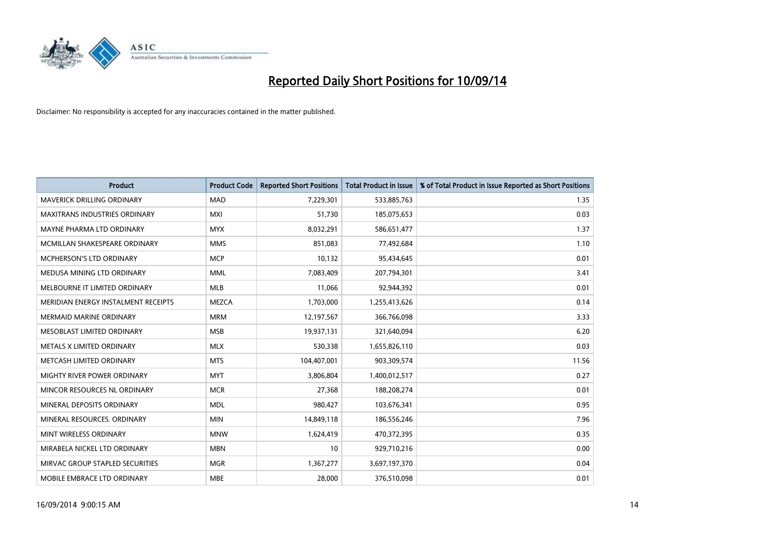

| <b>Product</b>                       | <b>Product Code</b> | <b>Reported Short Positions</b> | <b>Total Product in Issue</b> | % of Total Product in Issue Reported as Short Positions |
|--------------------------------------|---------------------|---------------------------------|-------------------------------|---------------------------------------------------------|
| <b>MAVERICK DRILLING ORDINARY</b>    | <b>MAD</b>          | 7,229,301                       | 533,885,763                   | 1.35                                                    |
| <b>MAXITRANS INDUSTRIES ORDINARY</b> | <b>MXI</b>          | 51.730                          | 185,075,653                   | 0.03                                                    |
| MAYNE PHARMA LTD ORDINARY            | <b>MYX</b>          | 8,032,291                       | 586,651,477                   | 1.37                                                    |
| MCMILLAN SHAKESPEARE ORDINARY        | <b>MMS</b>          | 851,083                         | 77,492,684                    | 1.10                                                    |
| MCPHERSON'S LTD ORDINARY             | <b>MCP</b>          | 10,132                          | 95,434,645                    | 0.01                                                    |
| MEDUSA MINING LTD ORDINARY           | <b>MML</b>          | 7,083,409                       | 207,794,301                   | 3.41                                                    |
| MELBOURNE IT LIMITED ORDINARY        | MLB                 | 11,066                          | 92,944,392                    | 0.01                                                    |
| MERIDIAN ENERGY INSTALMENT RECEIPTS  | <b>MEZCA</b>        | 1,703,000                       | 1,255,413,626                 | 0.14                                                    |
| <b>MERMAID MARINE ORDINARY</b>       | <b>MRM</b>          | 12,197,567                      | 366,766,098                   | 3.33                                                    |
| MESOBLAST LIMITED ORDINARY           | <b>MSB</b>          | 19,937,131                      | 321,640,094                   | 6.20                                                    |
| METALS X LIMITED ORDINARY            | <b>MLX</b>          | 530,338                         | 1,655,826,110                 | 0.03                                                    |
| METCASH LIMITED ORDINARY             | <b>MTS</b>          | 104,407,001                     | 903,309,574                   | 11.56                                                   |
| MIGHTY RIVER POWER ORDINARY          | <b>MYT</b>          | 3,806,804                       | 1,400,012,517                 | 0.27                                                    |
| MINCOR RESOURCES NL ORDINARY         | <b>MCR</b>          | 27,368                          | 188,208,274                   | 0.01                                                    |
| MINERAL DEPOSITS ORDINARY            | <b>MDL</b>          | 980,427                         | 103,676,341                   | 0.95                                                    |
| MINERAL RESOURCES, ORDINARY          | <b>MIN</b>          | 14,849,118                      | 186,556,246                   | 7.96                                                    |
| MINT WIRELESS ORDINARY               | <b>MNW</b>          | 1,624,419                       | 470,372,395                   | 0.35                                                    |
| MIRABELA NICKEL LTD ORDINARY         | <b>MBN</b>          | 10                              | 929,710,216                   | 0.00                                                    |
| MIRVAC GROUP STAPLED SECURITIES      | <b>MGR</b>          | 1,367,277                       | 3,697,197,370                 | 0.04                                                    |
| MOBILE EMBRACE LTD ORDINARY          | <b>MBE</b>          | 28,000                          | 376,510,098                   | 0.01                                                    |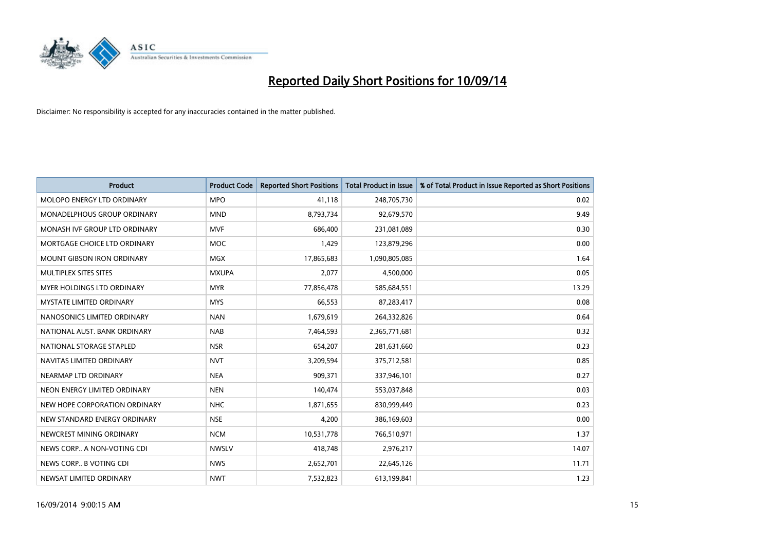

| <b>Product</b>                     | <b>Product Code</b> | <b>Reported Short Positions</b> | <b>Total Product in Issue</b> | % of Total Product in Issue Reported as Short Positions |
|------------------------------------|---------------------|---------------------------------|-------------------------------|---------------------------------------------------------|
| MOLOPO ENERGY LTD ORDINARY         | <b>MPO</b>          | 41,118                          | 248,705,730                   | 0.02                                                    |
| <b>MONADELPHOUS GROUP ORDINARY</b> | <b>MND</b>          | 8,793,734                       | 92,679,570                    | 9.49                                                    |
| MONASH IVF GROUP LTD ORDINARY      | <b>MVF</b>          | 686,400                         | 231,081,089                   | 0.30                                                    |
| MORTGAGE CHOICE LTD ORDINARY       | <b>MOC</b>          | 1,429                           | 123,879,296                   | 0.00                                                    |
| <b>MOUNT GIBSON IRON ORDINARY</b>  | <b>MGX</b>          | 17,865,683                      | 1,090,805,085                 | 1.64                                                    |
| MULTIPLEX SITES SITES              | <b>MXUPA</b>        | 2,077                           | 4,500,000                     | 0.05                                                    |
| <b>MYER HOLDINGS LTD ORDINARY</b>  | <b>MYR</b>          | 77,856,478                      | 585,684,551                   | 13.29                                                   |
| <b>MYSTATE LIMITED ORDINARY</b>    | <b>MYS</b>          | 66,553                          | 87,283,417                    | 0.08                                                    |
| NANOSONICS LIMITED ORDINARY        | <b>NAN</b>          | 1,679,619                       | 264,332,826                   | 0.64                                                    |
| NATIONAL AUST, BANK ORDINARY       | <b>NAB</b>          | 7,464,593                       | 2,365,771,681                 | 0.32                                                    |
| NATIONAL STORAGE STAPLED           | <b>NSR</b>          | 654,207                         | 281,631,660                   | 0.23                                                    |
| NAVITAS LIMITED ORDINARY           | <b>NVT</b>          | 3,209,594                       | 375,712,581                   | 0.85                                                    |
| NEARMAP LTD ORDINARY               | <b>NEA</b>          | 909,371                         | 337,946,101                   | 0.27                                                    |
| NEON ENERGY LIMITED ORDINARY       | <b>NEN</b>          | 140,474                         | 553,037,848                   | 0.03                                                    |
| NEW HOPE CORPORATION ORDINARY      | <b>NHC</b>          | 1,871,655                       | 830,999,449                   | 0.23                                                    |
| NEW STANDARD ENERGY ORDINARY       | <b>NSE</b>          | 4,200                           | 386,169,603                   | 0.00                                                    |
| NEWCREST MINING ORDINARY           | <b>NCM</b>          | 10,531,778                      | 766,510,971                   | 1.37                                                    |
| NEWS CORP A NON-VOTING CDI         | <b>NWSLV</b>        | 418,748                         | 2,976,217                     | 14.07                                                   |
| NEWS CORP B VOTING CDI             | <b>NWS</b>          | 2,652,701                       | 22,645,126                    | 11.71                                                   |
| NEWSAT LIMITED ORDINARY            | <b>NWT</b>          | 7,532,823                       | 613,199,841                   | 1.23                                                    |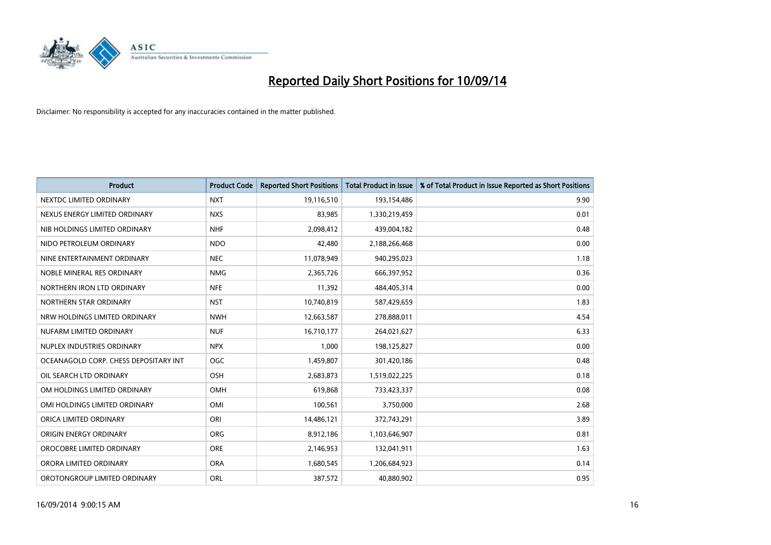

| <b>Product</b>                        | <b>Product Code</b> | <b>Reported Short Positions</b> | <b>Total Product in Issue</b> | % of Total Product in Issue Reported as Short Positions |
|---------------------------------------|---------------------|---------------------------------|-------------------------------|---------------------------------------------------------|
| NEXTDC LIMITED ORDINARY               | <b>NXT</b>          | 19,116,510                      | 193,154,486                   | 9.90                                                    |
| NEXUS ENERGY LIMITED ORDINARY         | <b>NXS</b>          | 83,985                          | 1,330,219,459                 | 0.01                                                    |
| NIB HOLDINGS LIMITED ORDINARY         | <b>NHF</b>          | 2,098,412                       | 439,004,182                   | 0.48                                                    |
| NIDO PETROLEUM ORDINARY               | <b>NDO</b>          | 42,480                          | 2,188,266,468                 | 0.00                                                    |
| NINE ENTERTAINMENT ORDINARY           | <b>NEC</b>          | 11,078,949                      | 940,295,023                   | 1.18                                                    |
| NOBLE MINERAL RES ORDINARY            | <b>NMG</b>          | 2,365,726                       | 666,397,952                   | 0.36                                                    |
| NORTHERN IRON LTD ORDINARY            | <b>NFE</b>          | 11,392                          | 484,405,314                   | 0.00                                                    |
| NORTHERN STAR ORDINARY                | <b>NST</b>          | 10,740,819                      | 587,429,659                   | 1.83                                                    |
| NRW HOLDINGS LIMITED ORDINARY         | <b>NWH</b>          | 12,663,587                      | 278,888,011                   | 4.54                                                    |
| NUFARM LIMITED ORDINARY               | <b>NUF</b>          | 16,710,177                      | 264,021,627                   | 6.33                                                    |
| NUPLEX INDUSTRIES ORDINARY            | <b>NPX</b>          | 1,000                           | 198,125,827                   | 0.00                                                    |
| OCEANAGOLD CORP. CHESS DEPOSITARY INT | <b>OGC</b>          | 1,459,807                       | 301,420,186                   | 0.48                                                    |
| OIL SEARCH LTD ORDINARY               | OSH                 | 2,683,873                       | 1,519,022,225                 | 0.18                                                    |
| OM HOLDINGS LIMITED ORDINARY          | OMH                 | 619,868                         | 733,423,337                   | 0.08                                                    |
| OMI HOLDINGS LIMITED ORDINARY         | OMI                 | 100,561                         | 3,750,000                     | 2.68                                                    |
| ORICA LIMITED ORDINARY                | ORI                 | 14,486,121                      | 372,743,291                   | 3.89                                                    |
| ORIGIN ENERGY ORDINARY                | ORG                 | 8,912,186                       | 1,103,646,907                 | 0.81                                                    |
| OROCOBRE LIMITED ORDINARY             | <b>ORE</b>          | 2,146,953                       | 132,041,911                   | 1.63                                                    |
| ORORA LIMITED ORDINARY                | <b>ORA</b>          | 1,680,545                       | 1,206,684,923                 | 0.14                                                    |
| OROTONGROUP LIMITED ORDINARY          | ORL                 | 387,572                         | 40,880,902                    | 0.95                                                    |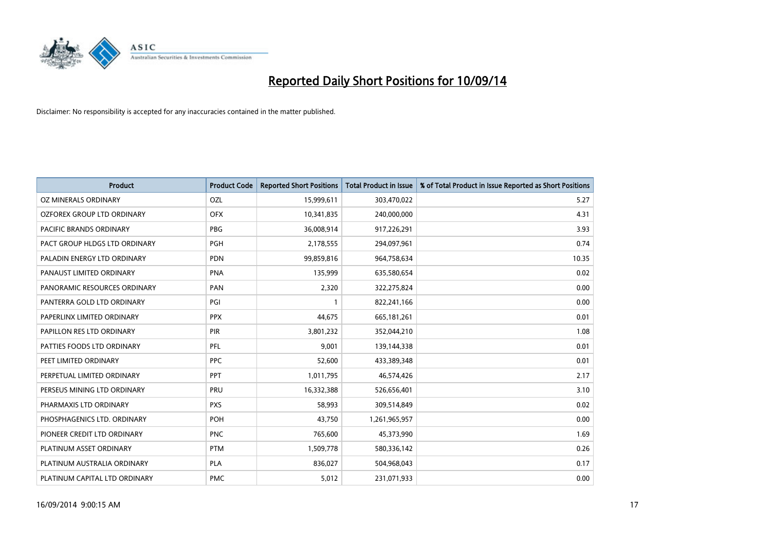

| <b>Product</b>                | <b>Product Code</b> | <b>Reported Short Positions</b> | <b>Total Product in Issue</b> | % of Total Product in Issue Reported as Short Positions |
|-------------------------------|---------------------|---------------------------------|-------------------------------|---------------------------------------------------------|
| <b>OZ MINERALS ORDINARY</b>   | <b>OZL</b>          | 15,999,611                      | 303,470,022                   | 5.27                                                    |
| OZFOREX GROUP LTD ORDINARY    | <b>OFX</b>          | 10,341,835                      | 240,000,000                   | 4.31                                                    |
| PACIFIC BRANDS ORDINARY       | <b>PBG</b>          | 36,008,914                      | 917,226,291                   | 3.93                                                    |
| PACT GROUP HLDGS LTD ORDINARY | <b>PGH</b>          | 2,178,555                       | 294,097,961                   | 0.74                                                    |
| PALADIN ENERGY LTD ORDINARY   | <b>PDN</b>          | 99,859,816                      | 964,758,634                   | 10.35                                                   |
| PANAUST LIMITED ORDINARY      | <b>PNA</b>          | 135,999                         | 635,580,654                   | 0.02                                                    |
| PANORAMIC RESOURCES ORDINARY  | PAN                 | 2,320                           | 322,275,824                   | 0.00                                                    |
| PANTERRA GOLD LTD ORDINARY    | PGI                 | $\mathbf{1}$                    | 822,241,166                   | 0.00                                                    |
| PAPERLINX LIMITED ORDINARY    | <b>PPX</b>          | 44,675                          | 665, 181, 261                 | 0.01                                                    |
| PAPILLON RES LTD ORDINARY     | PIR                 | 3,801,232                       | 352,044,210                   | 1.08                                                    |
| PATTIES FOODS LTD ORDINARY    | PFL                 | 9,001                           | 139,144,338                   | 0.01                                                    |
| PEET LIMITED ORDINARY         | <b>PPC</b>          | 52,600                          | 433,389,348                   | 0.01                                                    |
| PERPETUAL LIMITED ORDINARY    | <b>PPT</b>          | 1,011,795                       | 46,574,426                    | 2.17                                                    |
| PERSEUS MINING LTD ORDINARY   | PRU                 | 16,332,388                      | 526,656,401                   | 3.10                                                    |
| PHARMAXIS LTD ORDINARY        | <b>PXS</b>          | 58,993                          | 309,514,849                   | 0.02                                                    |
| PHOSPHAGENICS LTD. ORDINARY   | POH                 | 43,750                          | 1,261,965,957                 | 0.00                                                    |
| PIONEER CREDIT LTD ORDINARY   | <b>PNC</b>          | 765,600                         | 45,373,990                    | 1.69                                                    |
| PLATINUM ASSET ORDINARY       | <b>PTM</b>          | 1,509,778                       | 580,336,142                   | 0.26                                                    |
| PLATINUM AUSTRALIA ORDINARY   | <b>PLA</b>          | 836,027                         | 504,968,043                   | 0.17                                                    |
| PLATINUM CAPITAL LTD ORDINARY | <b>PMC</b>          | 5,012                           | 231,071,933                   | 0.00                                                    |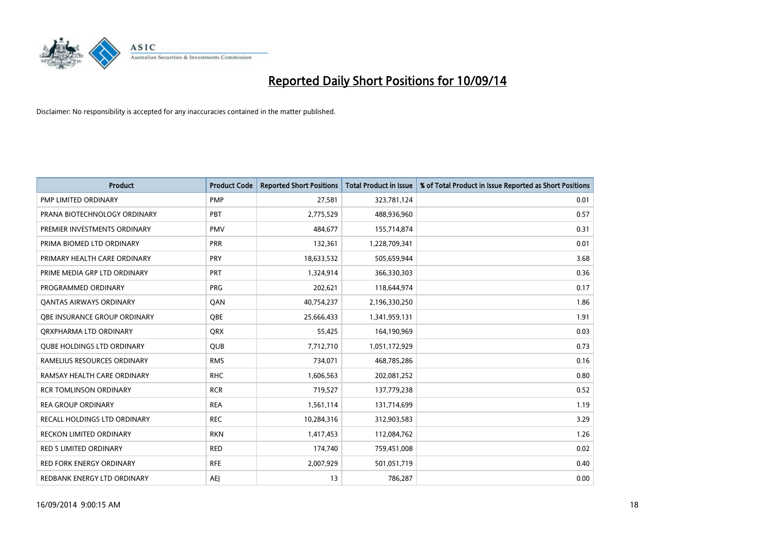

| <b>Product</b>                      | <b>Product Code</b> | <b>Reported Short Positions</b> | <b>Total Product in Issue</b> | % of Total Product in Issue Reported as Short Positions |
|-------------------------------------|---------------------|---------------------------------|-------------------------------|---------------------------------------------------------|
| <b>PMP LIMITED ORDINARY</b>         | <b>PMP</b>          | 27,581                          | 323,781,124                   | 0.01                                                    |
| PRANA BIOTECHNOLOGY ORDINARY        | PBT                 | 2,775,529                       | 488,936,960                   | 0.57                                                    |
| PREMIER INVESTMENTS ORDINARY        | <b>PMV</b>          | 484,677                         | 155,714,874                   | 0.31                                                    |
| PRIMA BIOMED LTD ORDINARY           | <b>PRR</b>          | 132,361                         | 1,228,709,341                 | 0.01                                                    |
| PRIMARY HEALTH CARE ORDINARY        | <b>PRY</b>          | 18,633,532                      | 505,659,944                   | 3.68                                                    |
| PRIME MEDIA GRP LTD ORDINARY        | <b>PRT</b>          | 1,324,914                       | 366,330,303                   | 0.36                                                    |
| PROGRAMMED ORDINARY                 | <b>PRG</b>          | 202,621                         | 118,644,974                   | 0.17                                                    |
| <b>QANTAS AIRWAYS ORDINARY</b>      | QAN                 | 40,754,237                      | 2,196,330,250                 | 1.86                                                    |
| OBE INSURANCE GROUP ORDINARY        | <b>OBE</b>          | 25,666,433                      | 1,341,959,131                 | 1.91                                                    |
| ORXPHARMA LTD ORDINARY              | <b>QRX</b>          | 55,425                          | 164,190,969                   | 0.03                                                    |
| <b>QUBE HOLDINGS LTD ORDINARY</b>   | <b>QUB</b>          | 7,712,710                       | 1,051,172,929                 | 0.73                                                    |
| RAMELIUS RESOURCES ORDINARY         | <b>RMS</b>          | 734,071                         | 468,785,286                   | 0.16                                                    |
| RAMSAY HEALTH CARE ORDINARY         | <b>RHC</b>          | 1,606,563                       | 202,081,252                   | 0.80                                                    |
| <b>RCR TOMLINSON ORDINARY</b>       | <b>RCR</b>          | 719,527                         | 137,779,238                   | 0.52                                                    |
| <b>REA GROUP ORDINARY</b>           | <b>REA</b>          | 1,561,114                       | 131,714,699                   | 1.19                                                    |
| <b>RECALL HOLDINGS LTD ORDINARY</b> | <b>REC</b>          | 10,284,316                      | 312,903,583                   | 3.29                                                    |
| <b>RECKON LIMITED ORDINARY</b>      | <b>RKN</b>          | 1,417,453                       | 112,084,762                   | 1.26                                                    |
| RED 5 LIMITED ORDINARY              | <b>RED</b>          | 174,740                         | 759,451,008                   | 0.02                                                    |
| <b>RED FORK ENERGY ORDINARY</b>     | <b>RFE</b>          | 2,007,929                       | 501,051,719                   | 0.40                                                    |
| REDBANK ENERGY LTD ORDINARY         | <b>AEJ</b>          | 13                              | 786,287                       | 0.00                                                    |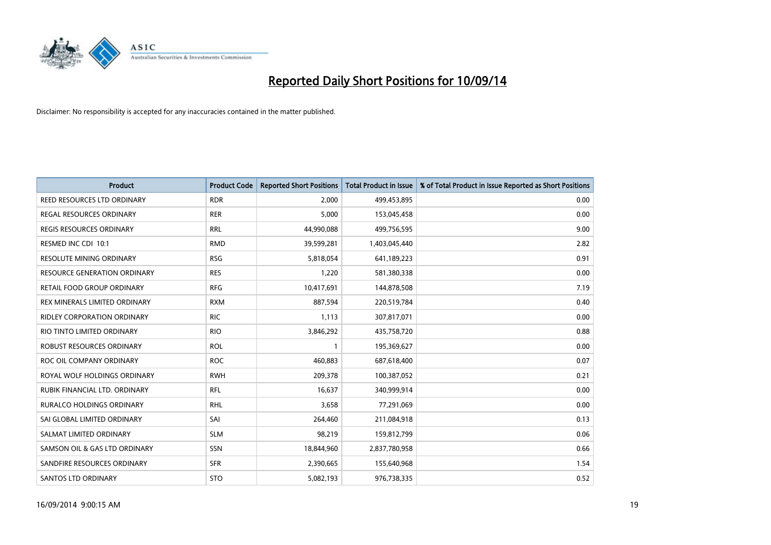

| <b>Product</b>                   | <b>Product Code</b> | <b>Reported Short Positions</b> | Total Product in Issue | % of Total Product in Issue Reported as Short Positions |
|----------------------------------|---------------------|---------------------------------|------------------------|---------------------------------------------------------|
| REED RESOURCES LTD ORDINARY      | <b>RDR</b>          | 2,000                           | 499,453,895            | 0.00                                                    |
| REGAL RESOURCES ORDINARY         | <b>RER</b>          | 5,000                           | 153,045,458            | 0.00                                                    |
| REGIS RESOURCES ORDINARY         | <b>RRL</b>          | 44,990,088                      | 499,756,595            | 9.00                                                    |
| RESMED INC CDI 10:1              | <b>RMD</b>          | 39,599,281                      | 1,403,045,440          | 2.82                                                    |
| <b>RESOLUTE MINING ORDINARY</b>  | <b>RSG</b>          | 5,818,054                       | 641,189,223            | 0.91                                                    |
| RESOURCE GENERATION ORDINARY     | <b>RES</b>          | 1,220                           | 581,380,338            | 0.00                                                    |
| RETAIL FOOD GROUP ORDINARY       | <b>RFG</b>          | 10,417,691                      | 144,878,508            | 7.19                                                    |
| REX MINERALS LIMITED ORDINARY    | <b>RXM</b>          | 887,594                         | 220,519,784            | 0.40                                                    |
| RIDLEY CORPORATION ORDINARY      | <b>RIC</b>          | 1,113                           | 307,817,071            | 0.00                                                    |
| RIO TINTO LIMITED ORDINARY       | <b>RIO</b>          | 3,846,292                       | 435,758,720            | 0.88                                                    |
| ROBUST RESOURCES ORDINARY        | <b>ROL</b>          | $\mathbf{1}$                    | 195,369,627            | 0.00                                                    |
| ROC OIL COMPANY ORDINARY         | <b>ROC</b>          | 460,883                         | 687,618,400            | 0.07                                                    |
| ROYAL WOLF HOLDINGS ORDINARY     | <b>RWH</b>          | 209,378                         | 100,387,052            | 0.21                                                    |
| RUBIK FINANCIAL LTD. ORDINARY    | RFL                 | 16,637                          | 340,999,914            | 0.00                                                    |
| <b>RURALCO HOLDINGS ORDINARY</b> | <b>RHL</b>          | 3,658                           | 77,291,069             | 0.00                                                    |
| SAI GLOBAL LIMITED ORDINARY      | SAI                 | 264,460                         | 211,084,918            | 0.13                                                    |
| SALMAT LIMITED ORDINARY          | <b>SLM</b>          | 98,219                          | 159,812,799            | 0.06                                                    |
| SAMSON OIL & GAS LTD ORDINARY    | SSN                 | 18,844,960                      | 2,837,780,958          | 0.66                                                    |
| SANDFIRE RESOURCES ORDINARY      | <b>SFR</b>          | 2,390,665                       | 155,640,968            | 1.54                                                    |
| SANTOS LTD ORDINARY              | <b>STO</b>          | 5,082,193                       | 976,738,335            | 0.52                                                    |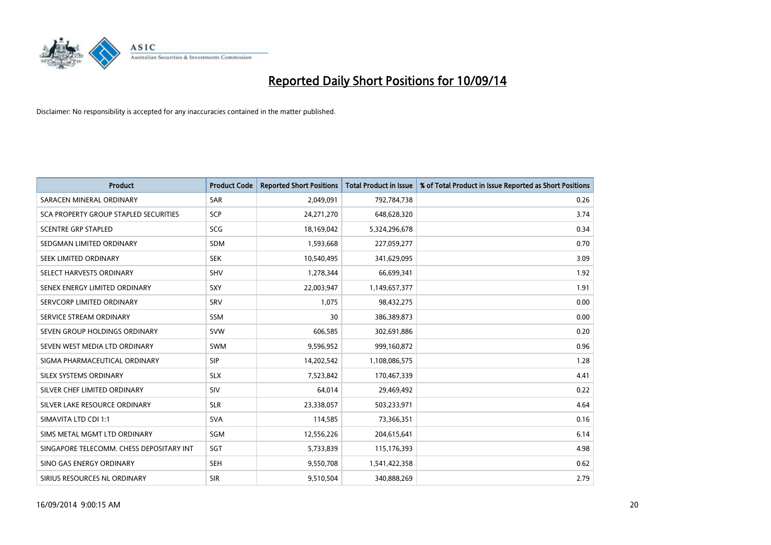

| <b>Product</b>                           | <b>Product Code</b> | <b>Reported Short Positions</b> | <b>Total Product in Issue</b> | % of Total Product in Issue Reported as Short Positions |
|------------------------------------------|---------------------|---------------------------------|-------------------------------|---------------------------------------------------------|
| SARACEN MINERAL ORDINARY                 | <b>SAR</b>          | 2,049,091                       | 792,784,738                   | 0.26                                                    |
| SCA PROPERTY GROUP STAPLED SECURITIES    | <b>SCP</b>          | 24,271,270                      | 648,628,320                   | 3.74                                                    |
| <b>SCENTRE GRP STAPLED</b>               | SCG                 | 18,169,042                      | 5,324,296,678                 | 0.34                                                    |
| SEDGMAN LIMITED ORDINARY                 | <b>SDM</b>          | 1,593,668                       | 227,059,277                   | 0.70                                                    |
| SEEK LIMITED ORDINARY                    | <b>SEK</b>          | 10,540,495                      | 341,629,095                   | 3.09                                                    |
| SELECT HARVESTS ORDINARY                 | SHV                 | 1,278,344                       | 66,699,341                    | 1.92                                                    |
| SENEX ENERGY LIMITED ORDINARY            | <b>SXY</b>          | 22,003,947                      | 1,149,657,377                 | 1.91                                                    |
| SERVCORP LIMITED ORDINARY                | SRV                 | 1,075                           | 98,432,275                    | 0.00                                                    |
| SERVICE STREAM ORDINARY                  | <b>SSM</b>          | 30                              | 386,389,873                   | 0.00                                                    |
| SEVEN GROUP HOLDINGS ORDINARY            | <b>SVW</b>          | 606,585                         | 302,691,886                   | 0.20                                                    |
| SEVEN WEST MEDIA LTD ORDINARY            | <b>SWM</b>          | 9,596,952                       | 999,160,872                   | 0.96                                                    |
| SIGMA PHARMACEUTICAL ORDINARY            | <b>SIP</b>          | 14,202,542                      | 1,108,086,575                 | 1.28                                                    |
| SILEX SYSTEMS ORDINARY                   | <b>SLX</b>          | 7,523,842                       | 170,467,339                   | 4.41                                                    |
| SILVER CHEF LIMITED ORDINARY             | SIV                 | 64,014                          | 29,469,492                    | 0.22                                                    |
| SILVER LAKE RESOURCE ORDINARY            | <b>SLR</b>          | 23,338,057                      | 503,233,971                   | 4.64                                                    |
| SIMAVITA LTD CDI 1:1                     | <b>SVA</b>          | 114,585                         | 73,366,351                    | 0.16                                                    |
| SIMS METAL MGMT LTD ORDINARY             | SGM                 | 12,556,226                      | 204,615,641                   | 6.14                                                    |
| SINGAPORE TELECOMM. CHESS DEPOSITARY INT | SGT                 | 5,733,839                       | 115,176,393                   | 4.98                                                    |
| SINO GAS ENERGY ORDINARY                 | <b>SEH</b>          | 9,550,708                       | 1,541,422,358                 | 0.62                                                    |
| SIRIUS RESOURCES NL ORDINARY             | <b>SIR</b>          | 9,510,504                       | 340,888,269                   | 2.79                                                    |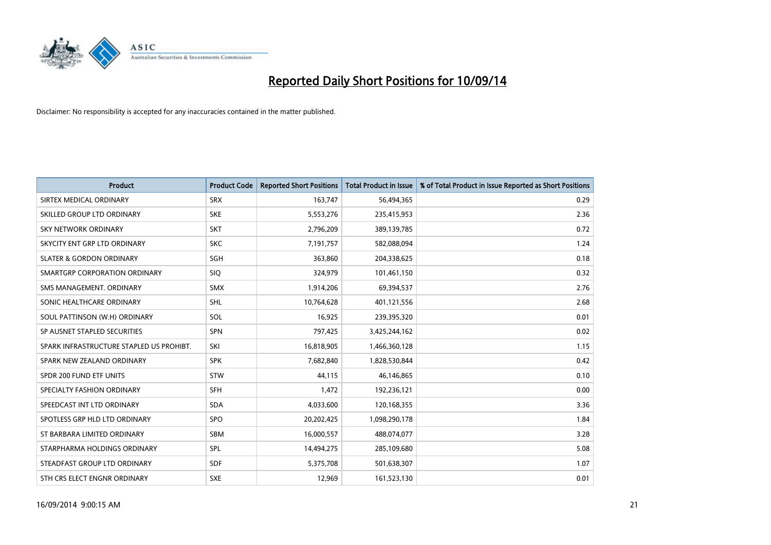

| <b>Product</b>                           | <b>Product Code</b> | <b>Reported Short Positions</b> | <b>Total Product in Issue</b> | % of Total Product in Issue Reported as Short Positions |
|------------------------------------------|---------------------|---------------------------------|-------------------------------|---------------------------------------------------------|
| SIRTEX MEDICAL ORDINARY                  | <b>SRX</b>          | 163,747                         | 56,494,365                    | 0.29                                                    |
| SKILLED GROUP LTD ORDINARY               | <b>SKE</b>          | 5,553,276                       | 235,415,953                   | 2.36                                                    |
| SKY NETWORK ORDINARY                     | <b>SKT</b>          | 2,796,209                       | 389,139,785                   | 0.72                                                    |
| SKYCITY ENT GRP LTD ORDINARY             | <b>SKC</b>          | 7,191,757                       | 582,088,094                   | 1.24                                                    |
| <b>SLATER &amp; GORDON ORDINARY</b>      | SGH                 | 363,860                         | 204,338,625                   | 0.18                                                    |
| SMARTGRP CORPORATION ORDINARY            | <b>SIQ</b>          | 324,979                         | 101,461,150                   | 0.32                                                    |
| SMS MANAGEMENT. ORDINARY                 | <b>SMX</b>          | 1,914,206                       | 69,394,537                    | 2.76                                                    |
| SONIC HEALTHCARE ORDINARY                | SHL                 | 10,764,628                      | 401,121,556                   | 2.68                                                    |
| SOUL PATTINSON (W.H) ORDINARY            | SOL                 | 16,925                          | 239,395,320                   | 0.01                                                    |
| SP AUSNET STAPLED SECURITIES             | <b>SPN</b>          | 797,425                         | 3,425,244,162                 | 0.02                                                    |
| SPARK INFRASTRUCTURE STAPLED US PROHIBT. | SKI                 | 16,818,905                      | 1,466,360,128                 | 1.15                                                    |
| SPARK NEW ZEALAND ORDINARY               | <b>SPK</b>          | 7,682,840                       | 1,828,530,844                 | 0.42                                                    |
| SPDR 200 FUND ETF UNITS                  | <b>STW</b>          | 44,115                          | 46,146,865                    | 0.10                                                    |
| SPECIALTY FASHION ORDINARY               | <b>SFH</b>          | 1,472                           | 192,236,121                   | 0.00                                                    |
| SPEEDCAST INT LTD ORDINARY               | <b>SDA</b>          | 4,033,600                       | 120,168,355                   | 3.36                                                    |
| SPOTLESS GRP HLD LTD ORDINARY            | <b>SPO</b>          | 20,202,425                      | 1,098,290,178                 | 1.84                                                    |
| ST BARBARA LIMITED ORDINARY              | <b>SBM</b>          | 16,000,557                      | 488,074,077                   | 3.28                                                    |
| STARPHARMA HOLDINGS ORDINARY             | SPL                 | 14,494,275                      | 285,109,680                   | 5.08                                                    |
| STEADFAST GROUP LTD ORDINARY             | <b>SDF</b>          | 5,375,708                       | 501,638,307                   | 1.07                                                    |
| STH CRS ELECT ENGNR ORDINARY             | <b>SXE</b>          | 12,969                          | 161,523,130                   | 0.01                                                    |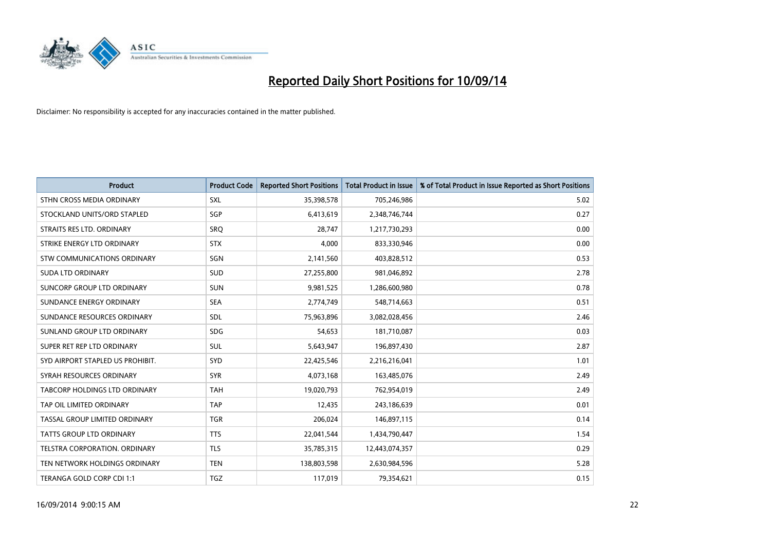

| <b>Product</b>                   | <b>Product Code</b> | <b>Reported Short Positions</b> | <b>Total Product in Issue</b> | % of Total Product in Issue Reported as Short Positions |
|----------------------------------|---------------------|---------------------------------|-------------------------------|---------------------------------------------------------|
| STHN CROSS MEDIA ORDINARY        | <b>SXL</b>          | 35,398,578                      | 705,246,986                   | 5.02                                                    |
| STOCKLAND UNITS/ORD STAPLED      | SGP                 | 6,413,619                       | 2,348,746,744                 | 0.27                                                    |
| STRAITS RES LTD. ORDINARY        | <b>SRO</b>          | 28,747                          | 1,217,730,293                 | 0.00                                                    |
| STRIKE ENERGY LTD ORDINARY       | <b>STX</b>          | 4,000                           | 833,330,946                   | 0.00                                                    |
| STW COMMUNICATIONS ORDINARY      | SGN                 | 2,141,560                       | 403,828,512                   | 0.53                                                    |
| <b>SUDA LTD ORDINARY</b>         | SUD                 | 27,255,800                      | 981,046,892                   | 2.78                                                    |
| SUNCORP GROUP LTD ORDINARY       | SUN                 | 9,981,525                       | 1,286,600,980                 | 0.78                                                    |
| SUNDANCE ENERGY ORDINARY         | <b>SEA</b>          | 2,774,749                       | 548,714,663                   | 0.51                                                    |
| SUNDANCE RESOURCES ORDINARY      | SDL                 | 75,963,896                      | 3,082,028,456                 | 2.46                                                    |
| SUNLAND GROUP LTD ORDINARY       | <b>SDG</b>          | 54,653                          | 181,710,087                   | 0.03                                                    |
| SUPER RET REP LTD ORDINARY       | SUL                 | 5,643,947                       | 196,897,430                   | 2.87                                                    |
| SYD AIRPORT STAPLED US PROHIBIT. | SYD                 | 22,425,546                      | 2,216,216,041                 | 1.01                                                    |
| SYRAH RESOURCES ORDINARY         | <b>SYR</b>          | 4,073,168                       | 163,485,076                   | 2.49                                                    |
| TABCORP HOLDINGS LTD ORDINARY    | <b>TAH</b>          | 19,020,793                      | 762,954,019                   | 2.49                                                    |
| TAP OIL LIMITED ORDINARY         | <b>TAP</b>          | 12,435                          | 243,186,639                   | 0.01                                                    |
| TASSAL GROUP LIMITED ORDINARY    | <b>TGR</b>          | 206,024                         | 146,897,115                   | 0.14                                                    |
| TATTS GROUP LTD ORDINARY         | <b>TTS</b>          | 22,041,544                      | 1,434,790,447                 | 1.54                                                    |
| TELSTRA CORPORATION. ORDINARY    | <b>TLS</b>          | 35,785,315                      | 12,443,074,357                | 0.29                                                    |
| TEN NETWORK HOLDINGS ORDINARY    | <b>TEN</b>          | 138,803,598                     | 2,630,984,596                 | 5.28                                                    |
| TERANGA GOLD CORP CDI 1:1        | <b>TGZ</b>          | 117,019                         | 79,354,621                    | 0.15                                                    |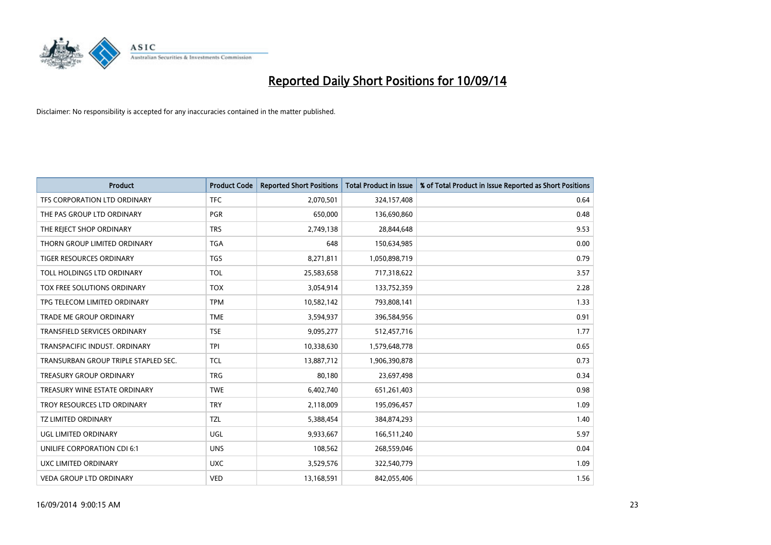

| <b>Product</b>                       | <b>Product Code</b> | <b>Reported Short Positions</b> | <b>Total Product in Issue</b> | % of Total Product in Issue Reported as Short Positions |
|--------------------------------------|---------------------|---------------------------------|-------------------------------|---------------------------------------------------------|
| TFS CORPORATION LTD ORDINARY         | <b>TFC</b>          | 2,070,501                       | 324,157,408                   | 0.64                                                    |
| THE PAS GROUP LTD ORDINARY           | <b>PGR</b>          | 650,000                         | 136,690,860                   | 0.48                                                    |
| THE REJECT SHOP ORDINARY             | <b>TRS</b>          | 2,749,138                       | 28,844,648                    | 9.53                                                    |
| THORN GROUP LIMITED ORDINARY         | <b>TGA</b>          | 648                             | 150,634,985                   | 0.00                                                    |
| <b>TIGER RESOURCES ORDINARY</b>      | <b>TGS</b>          | 8,271,811                       | 1,050,898,719                 | 0.79                                                    |
| TOLL HOLDINGS LTD ORDINARY           | <b>TOL</b>          | 25,583,658                      | 717,318,622                   | 3.57                                                    |
| TOX FREE SOLUTIONS ORDINARY          | <b>TOX</b>          | 3,054,914                       | 133,752,359                   | 2.28                                                    |
| TPG TELECOM LIMITED ORDINARY         | <b>TPM</b>          | 10,582,142                      | 793,808,141                   | 1.33                                                    |
| <b>TRADE ME GROUP ORDINARY</b>       | <b>TME</b>          | 3,594,937                       | 396,584,956                   | 0.91                                                    |
| <b>TRANSFIELD SERVICES ORDINARY</b>  | <b>TSE</b>          | 9,095,277                       | 512,457,716                   | 1.77                                                    |
| TRANSPACIFIC INDUST. ORDINARY        | <b>TPI</b>          | 10,338,630                      | 1,579,648,778                 | 0.65                                                    |
| TRANSURBAN GROUP TRIPLE STAPLED SEC. | <b>TCL</b>          | 13,887,712                      | 1,906,390,878                 | 0.73                                                    |
| <b>TREASURY GROUP ORDINARY</b>       | <b>TRG</b>          | 80,180                          | 23,697,498                    | 0.34                                                    |
| TREASURY WINE ESTATE ORDINARY        | <b>TWE</b>          | 6,402,740                       | 651,261,403                   | 0.98                                                    |
| TROY RESOURCES LTD ORDINARY          | <b>TRY</b>          | 2,118,009                       | 195,096,457                   | 1.09                                                    |
| TZ LIMITED ORDINARY                  | TZL                 | 5,388,454                       | 384,874,293                   | 1.40                                                    |
| UGL LIMITED ORDINARY                 | UGL                 | 9,933,667                       | 166,511,240                   | 5.97                                                    |
| UNILIFE CORPORATION CDI 6:1          | <b>UNS</b>          | 108,562                         | 268,559,046                   | 0.04                                                    |
| UXC LIMITED ORDINARY                 | <b>UXC</b>          | 3,529,576                       | 322,540,779                   | 1.09                                                    |
| <b>VEDA GROUP LTD ORDINARY</b>       | <b>VED</b>          | 13,168,591                      | 842,055,406                   | 1.56                                                    |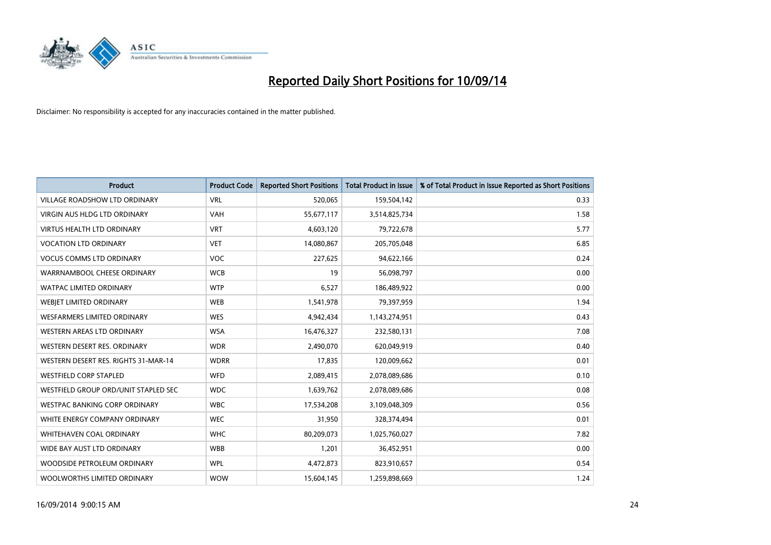

| <b>Product</b>                       | <b>Product Code</b> | <b>Reported Short Positions</b> | <b>Total Product in Issue</b> | % of Total Product in Issue Reported as Short Positions |
|--------------------------------------|---------------------|---------------------------------|-------------------------------|---------------------------------------------------------|
| <b>VILLAGE ROADSHOW LTD ORDINARY</b> | <b>VRL</b>          | 520,065                         | 159,504,142                   | 0.33                                                    |
| VIRGIN AUS HLDG LTD ORDINARY         | <b>VAH</b>          | 55,677,117                      | 3,514,825,734                 | 1.58                                                    |
| <b>VIRTUS HEALTH LTD ORDINARY</b>    | <b>VRT</b>          | 4,603,120                       | 79,722,678                    | 5.77                                                    |
| <b>VOCATION LTD ORDINARY</b>         | <b>VET</b>          | 14,080,867                      | 205,705,048                   | 6.85                                                    |
| <b>VOCUS COMMS LTD ORDINARY</b>      | <b>VOC</b>          | 227,625                         | 94,622,166                    | 0.24                                                    |
| WARRNAMBOOL CHEESE ORDINARY          | <b>WCB</b>          | 19                              | 56,098,797                    | 0.00                                                    |
| <b>WATPAC LIMITED ORDINARY</b>       | <b>WTP</b>          | 6,527                           | 186,489,922                   | 0.00                                                    |
| WEBIET LIMITED ORDINARY              | <b>WEB</b>          | 1,541,978                       | 79,397,959                    | 1.94                                                    |
| <b>WESFARMERS LIMITED ORDINARY</b>   | <b>WES</b>          | 4,942,434                       | 1,143,274,951                 | 0.43                                                    |
| WESTERN AREAS LTD ORDINARY           | <b>WSA</b>          | 16,476,327                      | 232,580,131                   | 7.08                                                    |
| WESTERN DESERT RES. ORDINARY         | <b>WDR</b>          | 2,490,070                       | 620,049,919                   | 0.40                                                    |
| WESTERN DESERT RES. RIGHTS 31-MAR-14 | <b>WDRR</b>         | 17,835                          | 120,009,662                   | 0.01                                                    |
| <b>WESTFIELD CORP STAPLED</b>        | <b>WFD</b>          | 2,089,415                       | 2,078,089,686                 | 0.10                                                    |
| WESTFIELD GROUP ORD/UNIT STAPLED SEC | <b>WDC</b>          | 1,639,762                       | 2,078,089,686                 | 0.08                                                    |
| <b>WESTPAC BANKING CORP ORDINARY</b> | <b>WBC</b>          | 17,534,208                      | 3,109,048,309                 | 0.56                                                    |
| WHITE ENERGY COMPANY ORDINARY        | <b>WEC</b>          | 31,950                          | 328,374,494                   | 0.01                                                    |
| WHITEHAVEN COAL ORDINARY             | <b>WHC</b>          | 80,209,073                      | 1,025,760,027                 | 7.82                                                    |
| WIDE BAY AUST LTD ORDINARY           | <b>WBB</b>          | 1,201                           | 36,452,951                    | 0.00                                                    |
| WOODSIDE PETROLEUM ORDINARY          | <b>WPL</b>          | 4,472,873                       | 823,910,657                   | 0.54                                                    |
| WOOLWORTHS LIMITED ORDINARY          | <b>WOW</b>          | 15,604,145                      | 1,259,898,669                 | 1.24                                                    |